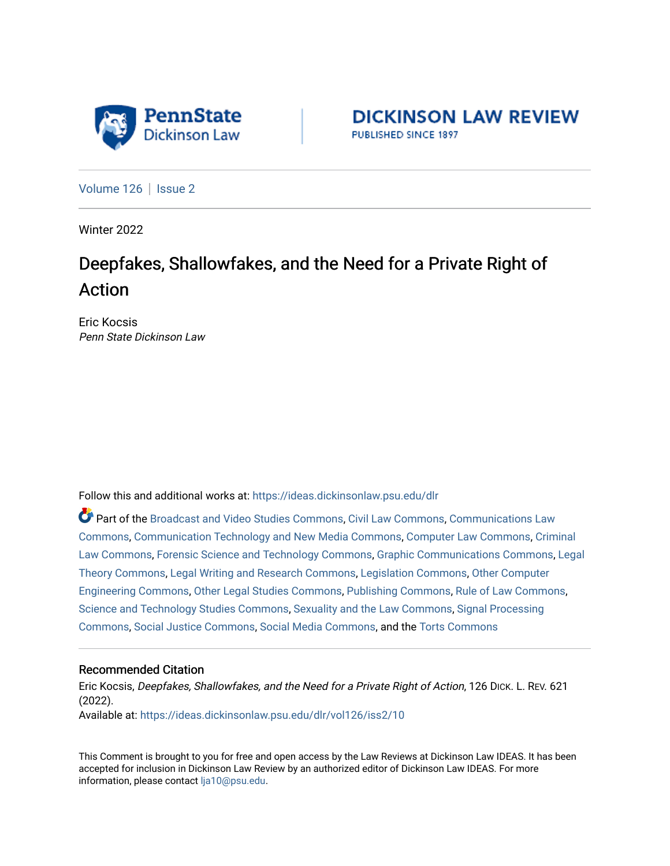

**DICKINSON LAW REVIEW** PUBLISHED SINCE 1897

[Volume 126](https://ideas.dickinsonlaw.psu.edu/dlr/vol126) | [Issue 2](https://ideas.dickinsonlaw.psu.edu/dlr/vol126/iss2)

Winter 2022

# Deepfakes, Shallowfakes, and the Need for a Private Right of Action

Eric Kocsis Penn State Dickinson Law

Follow this and additional works at: [https://ideas.dickinsonlaw.psu.edu/dlr](https://ideas.dickinsonlaw.psu.edu/dlr?utm_source=ideas.dickinsonlaw.psu.edu%2Fdlr%2Fvol126%2Fiss2%2F10&utm_medium=PDF&utm_campaign=PDFCoverPages) 

Part of the [Broadcast and Video Studies Commons,](http://network.bepress.com/hgg/discipline/326?utm_source=ideas.dickinsonlaw.psu.edu%2Fdlr%2Fvol126%2Fiss2%2F10&utm_medium=PDF&utm_campaign=PDFCoverPages) [Civil Law Commons](http://network.bepress.com/hgg/discipline/835?utm_source=ideas.dickinsonlaw.psu.edu%2Fdlr%2Fvol126%2Fiss2%2F10&utm_medium=PDF&utm_campaign=PDFCoverPages), [Communications Law](http://network.bepress.com/hgg/discipline/587?utm_source=ideas.dickinsonlaw.psu.edu%2Fdlr%2Fvol126%2Fiss2%2F10&utm_medium=PDF&utm_campaign=PDFCoverPages)  [Commons](http://network.bepress.com/hgg/discipline/587?utm_source=ideas.dickinsonlaw.psu.edu%2Fdlr%2Fvol126%2Fiss2%2F10&utm_medium=PDF&utm_campaign=PDFCoverPages), [Communication Technology and New Media Commons](http://network.bepress.com/hgg/discipline/327?utm_source=ideas.dickinsonlaw.psu.edu%2Fdlr%2Fvol126%2Fiss2%2F10&utm_medium=PDF&utm_campaign=PDFCoverPages), [Computer Law Commons](http://network.bepress.com/hgg/discipline/837?utm_source=ideas.dickinsonlaw.psu.edu%2Fdlr%2Fvol126%2Fiss2%2F10&utm_medium=PDF&utm_campaign=PDFCoverPages), [Criminal](http://network.bepress.com/hgg/discipline/912?utm_source=ideas.dickinsonlaw.psu.edu%2Fdlr%2Fvol126%2Fiss2%2F10&utm_medium=PDF&utm_campaign=PDFCoverPages) [Law Commons,](http://network.bepress.com/hgg/discipline/912?utm_source=ideas.dickinsonlaw.psu.edu%2Fdlr%2Fvol126%2Fiss2%2F10&utm_medium=PDF&utm_campaign=PDFCoverPages) [Forensic Science and Technology Commons](http://network.bepress.com/hgg/discipline/1277?utm_source=ideas.dickinsonlaw.psu.edu%2Fdlr%2Fvol126%2Fiss2%2F10&utm_medium=PDF&utm_campaign=PDFCoverPages), [Graphic Communications Commons,](http://network.bepress.com/hgg/discipline/1052?utm_source=ideas.dickinsonlaw.psu.edu%2Fdlr%2Fvol126%2Fiss2%2F10&utm_medium=PDF&utm_campaign=PDFCoverPages) [Legal](http://network.bepress.com/hgg/discipline/369?utm_source=ideas.dickinsonlaw.psu.edu%2Fdlr%2Fvol126%2Fiss2%2F10&utm_medium=PDF&utm_campaign=PDFCoverPages) [Theory Commons](http://network.bepress.com/hgg/discipline/369?utm_source=ideas.dickinsonlaw.psu.edu%2Fdlr%2Fvol126%2Fiss2%2F10&utm_medium=PDF&utm_campaign=PDFCoverPages), [Legal Writing and Research Commons](http://network.bepress.com/hgg/discipline/614?utm_source=ideas.dickinsonlaw.psu.edu%2Fdlr%2Fvol126%2Fiss2%2F10&utm_medium=PDF&utm_campaign=PDFCoverPages), [Legislation Commons,](http://network.bepress.com/hgg/discipline/859?utm_source=ideas.dickinsonlaw.psu.edu%2Fdlr%2Fvol126%2Fiss2%2F10&utm_medium=PDF&utm_campaign=PDFCoverPages) [Other Computer](http://network.bepress.com/hgg/discipline/265?utm_source=ideas.dickinsonlaw.psu.edu%2Fdlr%2Fvol126%2Fiss2%2F10&utm_medium=PDF&utm_campaign=PDFCoverPages) [Engineering Commons,](http://network.bepress.com/hgg/discipline/265?utm_source=ideas.dickinsonlaw.psu.edu%2Fdlr%2Fvol126%2Fiss2%2F10&utm_medium=PDF&utm_campaign=PDFCoverPages) [Other Legal Studies Commons,](http://network.bepress.com/hgg/discipline/370?utm_source=ideas.dickinsonlaw.psu.edu%2Fdlr%2Fvol126%2Fiss2%2F10&utm_medium=PDF&utm_campaign=PDFCoverPages) [Publishing Commons](http://network.bepress.com/hgg/discipline/1357?utm_source=ideas.dickinsonlaw.psu.edu%2Fdlr%2Fvol126%2Fiss2%2F10&utm_medium=PDF&utm_campaign=PDFCoverPages), [Rule of Law Commons](http://network.bepress.com/hgg/discipline/1122?utm_source=ideas.dickinsonlaw.psu.edu%2Fdlr%2Fvol126%2Fiss2%2F10&utm_medium=PDF&utm_campaign=PDFCoverPages), [Science and Technology Studies Commons](http://network.bepress.com/hgg/discipline/435?utm_source=ideas.dickinsonlaw.psu.edu%2Fdlr%2Fvol126%2Fiss2%2F10&utm_medium=PDF&utm_campaign=PDFCoverPages), [Sexuality and the Law Commons](http://network.bepress.com/hgg/discipline/877?utm_source=ideas.dickinsonlaw.psu.edu%2Fdlr%2Fvol126%2Fiss2%2F10&utm_medium=PDF&utm_campaign=PDFCoverPages), [Signal Processing](http://network.bepress.com/hgg/discipline/275?utm_source=ideas.dickinsonlaw.psu.edu%2Fdlr%2Fvol126%2Fiss2%2F10&utm_medium=PDF&utm_campaign=PDFCoverPages) [Commons](http://network.bepress.com/hgg/discipline/275?utm_source=ideas.dickinsonlaw.psu.edu%2Fdlr%2Fvol126%2Fiss2%2F10&utm_medium=PDF&utm_campaign=PDFCoverPages), [Social Justice Commons](http://network.bepress.com/hgg/discipline/1432?utm_source=ideas.dickinsonlaw.psu.edu%2Fdlr%2Fvol126%2Fiss2%2F10&utm_medium=PDF&utm_campaign=PDFCoverPages), [Social Media Commons](http://network.bepress.com/hgg/discipline/1249?utm_source=ideas.dickinsonlaw.psu.edu%2Fdlr%2Fvol126%2Fiss2%2F10&utm_medium=PDF&utm_campaign=PDFCoverPages), and the [Torts Commons](http://network.bepress.com/hgg/discipline/913?utm_source=ideas.dickinsonlaw.psu.edu%2Fdlr%2Fvol126%2Fiss2%2F10&utm_medium=PDF&utm_campaign=PDFCoverPages)

## Recommended Citation

Eric Kocsis, Deepfakes, Shallowfakes, and the Need for a Private Right of Action, 126 DICK. L. REV. 621 (2022). Available at: [https://ideas.dickinsonlaw.psu.edu/dlr/vol126/iss2/10](https://ideas.dickinsonlaw.psu.edu/dlr/vol126/iss2/10?utm_source=ideas.dickinsonlaw.psu.edu%2Fdlr%2Fvol126%2Fiss2%2F10&utm_medium=PDF&utm_campaign=PDFCoverPages) 

This Comment is brought to you for free and open access by the Law Reviews at Dickinson Law IDEAS. It has been accepted for inclusion in Dickinson Law Review by an authorized editor of Dickinson Law IDEAS. For more information, please contact [lja10@psu.edu.](mailto:lja10@psu.edu)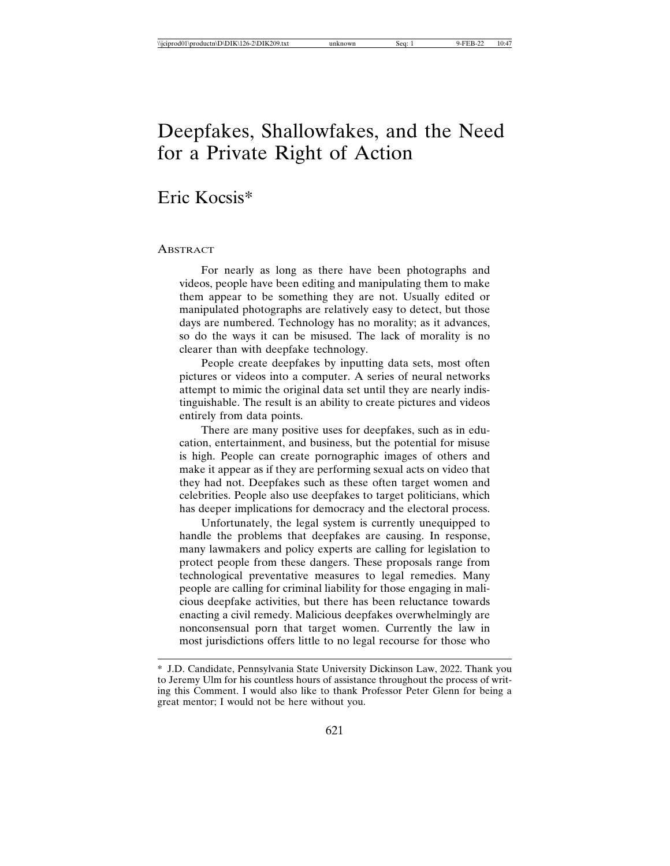## Deepfakes, Shallowfakes, and the Need for a Private Right of Action

## Eric Kocsis\*

#### **ABSTRACT**

For nearly as long as there have been photographs and videos, people have been editing and manipulating them to make them appear to be something they are not. Usually edited or manipulated photographs are relatively easy to detect, but those days are numbered. Technology has no morality; as it advances, so do the ways it can be misused. The lack of morality is no clearer than with deepfake technology.

People create deepfakes by inputting data sets, most often pictures or videos into a computer. A series of neural networks attempt to mimic the original data set until they are nearly indistinguishable. The result is an ability to create pictures and videos entirely from data points.

There are many positive uses for deepfakes, such as in education, entertainment, and business, but the potential for misuse is high. People can create pornographic images of others and make it appear as if they are performing sexual acts on video that they had not. Deepfakes such as these often target women and celebrities. People also use deepfakes to target politicians, which has deeper implications for democracy and the electoral process.

Unfortunately, the legal system is currently unequipped to handle the problems that deepfakes are causing. In response, many lawmakers and policy experts are calling for legislation to protect people from these dangers. These proposals range from technological preventative measures to legal remedies. Many people are calling for criminal liability for those engaging in malicious deepfake activities, but there has been reluctance towards enacting a civil remedy. Malicious deepfakes overwhelmingly are nonconsensual porn that target women. Currently the law in most jurisdictions offers little to no legal recourse for those who

<sup>\*</sup> J.D. Candidate, Pennsylvania State University Dickinson Law, 2022. Thank you to Jeremy Ulm for his countless hours of assistance throughout the process of writing this Comment. I would also like to thank Professor Peter Glenn for being a great mentor; I would not be here without you.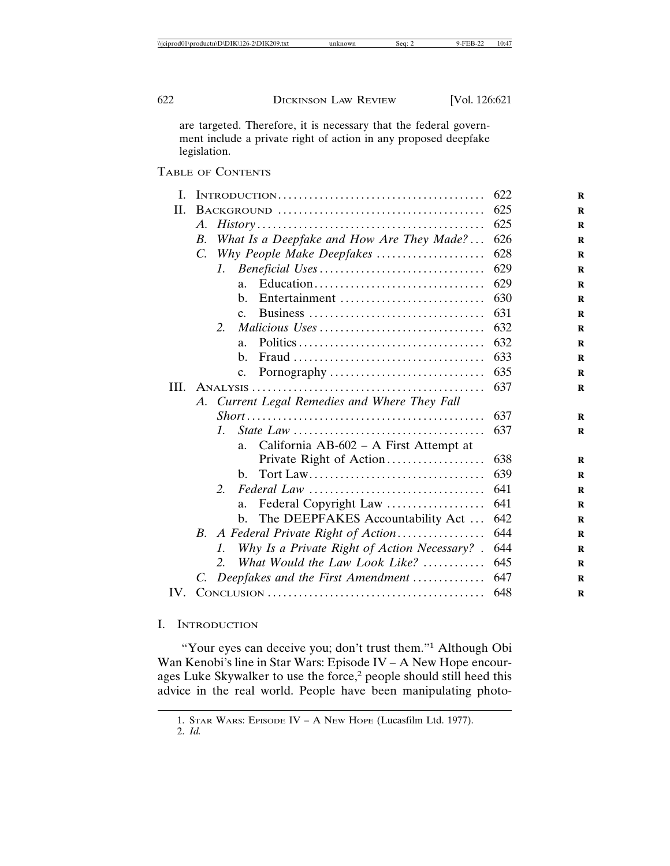are targeted. Therefore, it is necessary that the federal government include a private right of action in any proposed deepfake legislation.

|             |                                                                                               | 622                                                                    |
|-------------|-----------------------------------------------------------------------------------------------|------------------------------------------------------------------------|
|             |                                                                                               |                                                                        |
| A.          | $History \dots \dots \dots \dots \dots \dots \dots \dots \dots \dots \dots \dots \dots \dots$ | 625                                                                    |
| $B_{\cdot}$ |                                                                                               | 626                                                                    |
| $C_{\cdot}$ |                                                                                               | 628                                                                    |
|             | L.                                                                                            | 629                                                                    |
|             | a.                                                                                            |                                                                        |
|             | $h_{\cdot}$                                                                                   |                                                                        |
|             | $C_{-}$                                                                                       | 631                                                                    |
|             | 2.                                                                                            |                                                                        |
|             | a.                                                                                            | 632                                                                    |
|             | $h_{\cdot}$                                                                                   | 633                                                                    |
|             | C <sub>1</sub>                                                                                |                                                                        |
|             |                                                                                               | 637                                                                    |
|             |                                                                                               |                                                                        |
|             | A. Current Legal Remedies and Where They Fall                                                 |                                                                        |
|             |                                                                                               | 637                                                                    |
|             | $\mathcal{I}$ .                                                                               | 637                                                                    |
|             | California $AB-602 - A$ First Attempt at<br>a.                                                |                                                                        |
|             | Private Right of Action                                                                       | 638                                                                    |
|             | b.                                                                                            | 639                                                                    |
|             | 2.                                                                                            | 641                                                                    |
|             | Federal Copyright Law<br>a.                                                                   | 641                                                                    |
|             | The DEEPFAKES Accountability Act<br>b.                                                        | 642                                                                    |
|             | B. A Federal Private Right of Action                                                          | 644                                                                    |
|             | Why Is a Private Right of Action Necessary? .<br>$\mathcal{I}$ .                              | 644                                                                    |
|             | What Would the Law Look Like?<br>2.                                                           | 645                                                                    |
| C.          | Deepfakes and the First Amendment                                                             | 647                                                                    |
|             | III.                                                                                          | What Is a Deepfake and How Are They Made?<br>Why People Make Deepfakes |

#### I. INTRODUCTION

"Your eyes can deceive you; don't trust them."<sup>1</sup> Although Obi Wan Kenobi's line in Star Wars: Episode IV – A New Hope encourages Luke Skywalker to use the force,<sup>2</sup> people should still heed this advice in the real world. People have been manipulating photo-

<sup>1.</sup> STAR WARS: EPISODE IV – A NEW HOPE (Lucasfilm Ltd. 1977).

<sup>2.</sup> *Id.*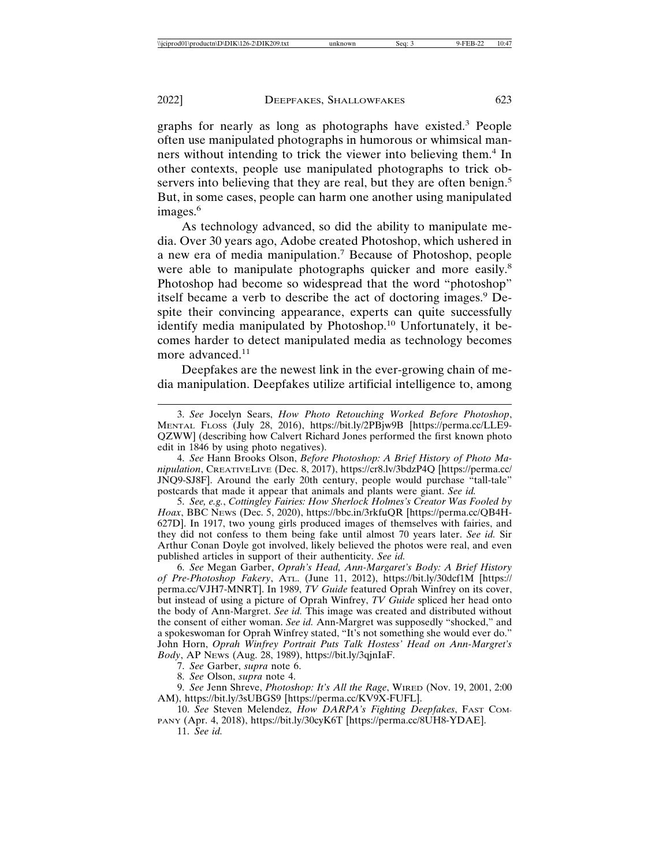graphs for nearly as long as photographs have existed.<sup>3</sup> People often use manipulated photographs in humorous or whimsical manners without intending to trick the viewer into believing them.<sup>4</sup> In other contexts, people use manipulated photographs to trick observers into believing that they are real, but they are often benign.<sup>5</sup> But, in some cases, people can harm one another using manipulated images.<sup>6</sup>

As technology advanced, so did the ability to manipulate media. Over 30 years ago, Adobe created Photoshop, which ushered in a new era of media manipulation.<sup>7</sup> Because of Photoshop, people were able to manipulate photographs quicker and more easily.<sup>8</sup> Photoshop had become so widespread that the word "photoshop" itself became a verb to describe the act of doctoring images.<sup>9</sup> Despite their convincing appearance, experts can quite successfully identify media manipulated by Photoshop.10 Unfortunately, it becomes harder to detect manipulated media as technology becomes more advanced. $11$ 

Deepfakes are the newest link in the ever-growing chain of media manipulation. Deepfakes utilize artificial intelligence to, among

5. *See, e.g.*, *Cottingley Fairies: How Sherlock Holmes's Creator Was Fooled by Hoax*, BBC NEWS (Dec. 5, 2020), https://bbc.in/3rkfuQR [https://perma.cc/QB4H-627D]. In 1917, two young girls produced images of themselves with fairies, and they did not confess to them being fake until almost 70 years later. *See id.* Sir Arthur Conan Doyle got involved, likely believed the photos were real, and even published articles in support of their authenticity. *See id.*

6. *See* Megan Garber, *Oprah's Head, Ann-Margaret's Body: A Brief History of Pre-Photoshop Fakery*, ATL. (June 11, 2012), https://bit.ly/30dcf1M [https:// perma.cc/VJH7-MNRT]. In 1989, *TV Guide* featured Oprah Winfrey on its cover, but instead of using a picture of Oprah Winfrey, *TV Guide* spliced her head onto the body of Ann-Margret. *See id.* This image was created and distributed without the consent of either woman. *See id.* Ann-Margret was supposedly "shocked," and a spokeswoman for Oprah Winfrey stated, "It's not something she would ever do." John Horn, *Oprah Winfrey Portrait Puts Talk Hostess' Head on Ann-Margret's Body*, AP NEWS (Aug. 28, 1989), https://bit.ly/3qjnIaF.

7. *See* Garber, *supra* note 6.

8. *See* Olson, *supra* note 4.

9. *See* Jenn Shreve, *Photoshop: It's All the Rage*, WIRED (Nov. 19, 2001, 2:00 AM), https://bit.ly/3sUBGS9 [https://perma.cc/KV9X-FUFL].

10. *See* Steven Melendez, *How DARPA's Fighting Deepfakes*, FAST COM-PANY (Apr. 4, 2018), https://bit.ly/30cyK6T [https://perma.cc/8UH8-YDAE].

11. *See id.*

<sup>3.</sup> *See* Jocelyn Sears, *How Photo Retouching Worked Before Photoshop*, MENTAL FLOSS (July 28, 2016), https://bit.ly/2PBjw9B [https://perma.cc/LLE9- QZWW] (describing how Calvert Richard Jones performed the first known photo edit in 1846 by using photo negatives).

<sup>4.</sup> *See* Hann Brooks Olson, *Before Photoshop: A Brief History of Photo Manipulation*, CREATIVELIVE (Dec. 8, 2017), https://cr8.lv/3bdzP4Q [https://perma.cc/ JNQ9-SJ8F]. Around the early 20th century, people would purchase "tall-tale" postcards that made it appear that animals and plants were giant. *See id.*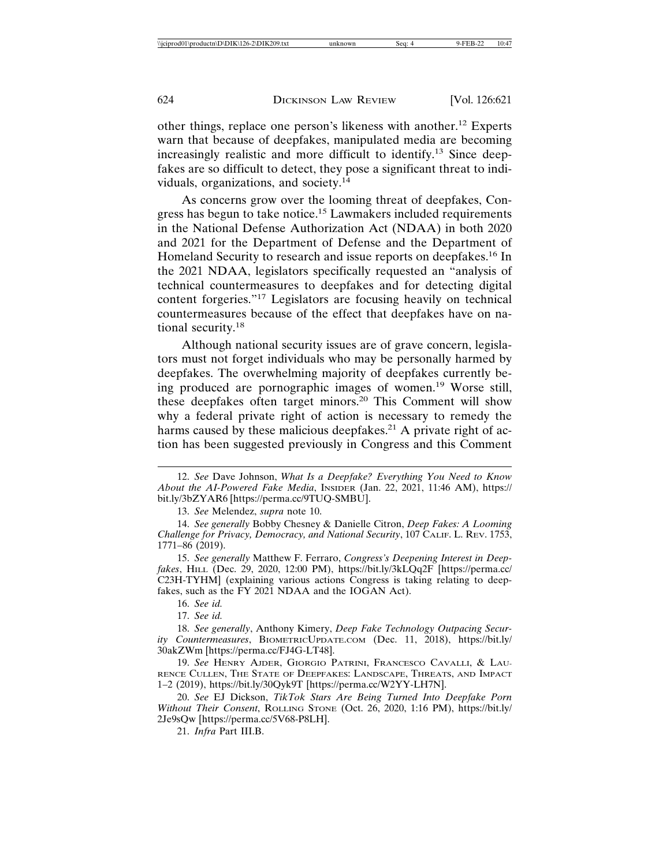other things, replace one person's likeness with another.12 Experts warn that because of deepfakes, manipulated media are becoming increasingly realistic and more difficult to identify.13 Since deepfakes are so difficult to detect, they pose a significant threat to individuals, organizations, and society.<sup>14</sup>

As concerns grow over the looming threat of deepfakes, Congress has begun to take notice.15 Lawmakers included requirements in the National Defense Authorization Act (NDAA) in both 2020 and 2021 for the Department of Defense and the Department of Homeland Security to research and issue reports on deepfakes.<sup>16</sup> In the 2021 NDAA, legislators specifically requested an "analysis of technical countermeasures to deepfakes and for detecting digital content forgeries."17 Legislators are focusing heavily on technical countermeasures because of the effect that deepfakes have on national security.<sup>18</sup>

Although national security issues are of grave concern, legislators must not forget individuals who may be personally harmed by deepfakes. The overwhelming majority of deepfakes currently being produced are pornographic images of women.19 Worse still, these deepfakes often target minors.20 This Comment will show why a federal private right of action is necessary to remedy the harms caused by these malicious deepfakes.<sup>21</sup> A private right of action has been suggested previously in Congress and this Comment

15. *See generally* Matthew F. Ferraro, *Congress's Deepening Interest in Deepfakes*, HILL (Dec. 29, 2020, 12:00 PM), https://bit.ly/3kLQq2F [https://perma.cc/ C23H-TYHM] (explaining various actions Congress is taking relating to deepfakes, such as the FY 2021 NDAA and the IOGAN Act).

17. *See id.*

18. *See generally*, Anthony Kimery, *Deep Fake Technology Outpacing Security Countermeasures*, BIOMETRICUPDATE.COM (Dec. 11, 2018), https://bit.ly/ 30akZWm [https://perma.cc/FJ4G-LT48].

19. *See* HENRY AJDER, GIORGIO PATRINI, FRANCESCO CAVALLI, & LAU-RENCE CULLEN, THE STATE OF DEEPFAKES: LANDSCAPE, THREATS, AND IMPACT 1–2 (2019), https://bit.ly/30Qyk9T [https://perma.cc/W2YY-LH7N].

20. *See* EJ Dickson, *TikTok Stars Are Being Turned Into Deepfake Porn Without Their Consent*, ROLLING STONE (Oct. 26, 2020, 1:16 PM), https://bit.ly/ 2Je9sQw [https://perma.cc/5V68-P8LH].

<sup>12.</sup> *See* Dave Johnson, *What Is a Deepfake? Everything You Need to Know About the AI-Powered Fake Media*, INSIDER (Jan. 22, 2021, 11:46 AM), https:// bit.ly/3bZYAR6 [https://perma.cc/9TUQ-SMBU].

<sup>13.</sup> *See* Melendez, *supra* note 10.

<sup>14.</sup> *See generally* Bobby Chesney & Danielle Citron, *Deep Fakes: A Looming Challenge for Privacy, Democracy, and National Security*, 107 CALIF. L. REV. 1753, 1771–86 (2019).

<sup>16.</sup> *See id.*

<sup>21.</sup> *Infra* Part III.B.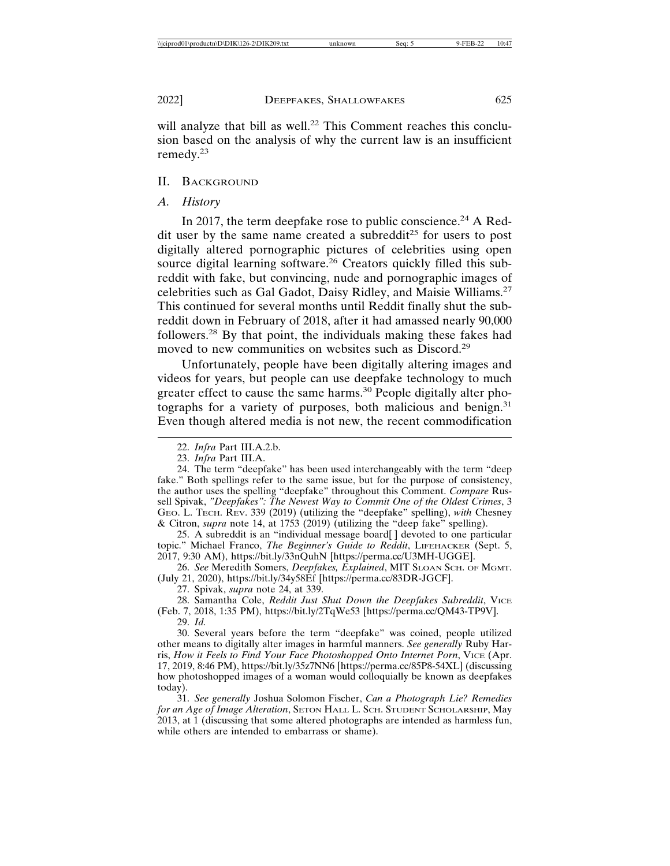will analyze that bill as well.<sup>22</sup> This Comment reaches this conclusion based on the analysis of why the current law is an insufficient remedy.23

#### II. BACKGROUND

#### *A. History*

In 2017, the term deepfake rose to public conscience.<sup>24</sup> A Reddit user by the same name created a subreddit<sup>25</sup> for users to post digitally altered pornographic pictures of celebrities using open source digital learning software.<sup>26</sup> Creators quickly filled this subreddit with fake, but convincing, nude and pornographic images of celebrities such as Gal Gadot, Daisy Ridley, and Maisie Williams.<sup>27</sup> This continued for several months until Reddit finally shut the subreddit down in February of 2018, after it had amassed nearly 90,000 followers.28 By that point, the individuals making these fakes had moved to new communities on websites such as Discord.<sup>29</sup>

Unfortunately, people have been digitally altering images and videos for years, but people can use deepfake technology to much greater effect to cause the same harms.<sup>30</sup> People digitally alter photographs for a variety of purposes, both malicious and benign.<sup>31</sup> Even though altered media is not new, the recent commodification

25. A subreddit is an "individual message board[ ] devoted to one particular topic." Michael Franco, *The Beginner's Guide to Reddit*, LIFEHACKER (Sept. 5, 2017, 9:30 AM), https://bit.ly/33nQuhN [https://perma.cc/U3MH-UGGE].

26. *See* Meredith Somers, *Deepfakes, Explained*, MIT SLOAN SCH. OF MGMT. (July 21, 2020), https://bit.ly/34y58Ef [https://perma.cc/83DR-JGCF].

27. Spivak, *supra* note 24, at 339.

28. Samantha Cole, *Reddit Just Shut Down the Deepfakes Subreddit*, VICE (Feb. 7, 2018, 1:35 PM), https://bit.ly/2TqWe53 [https://perma.cc/QM43-TP9V].

29. *Id.*

30. Several years before the term "deepfake" was coined, people utilized other means to digitally alter images in harmful manners. *See generally* Ruby Harris, *How it Feels to Find Your Face Photoshopped Onto Internet Porn*, VICE (Apr. 17, 2019, 8:46 PM), https://bit.ly/35z7NN6 [https://perma.cc/85P8-54XL] (discussing how photoshopped images of a woman would colloquially be known as deepfakes today).

31. *See generally* Joshua Solomon Fischer, *Can a Photograph Lie? Remedies for an Age of Image Alteration*, SETON HALL L. SCH. STUDENT SCHOLARSHIP, May 2013, at 1 (discussing that some altered photographs are intended as harmless fun, while others are intended to embarrass or shame).

<sup>22.</sup> *Infra* Part III.A.2.b.

<sup>23.</sup> *Infra* Part III.A.

<sup>24.</sup> The term "deepfake" has been used interchangeably with the term "deep fake." Both spellings refer to the same issue, but for the purpose of consistency, the author uses the spelling "deepfake" throughout this Comment. *Compare* Russell Spivak, *"Deepfakes": The Newest Way to Commit One of the Oldest Crimes*, 3 GEO. L. TECH. REV. 339 (2019) (utilizing the "deepfake" spelling), *with* Chesney & Citron, *supra* note 14, at 1753 (2019) (utilizing the "deep fake" spelling).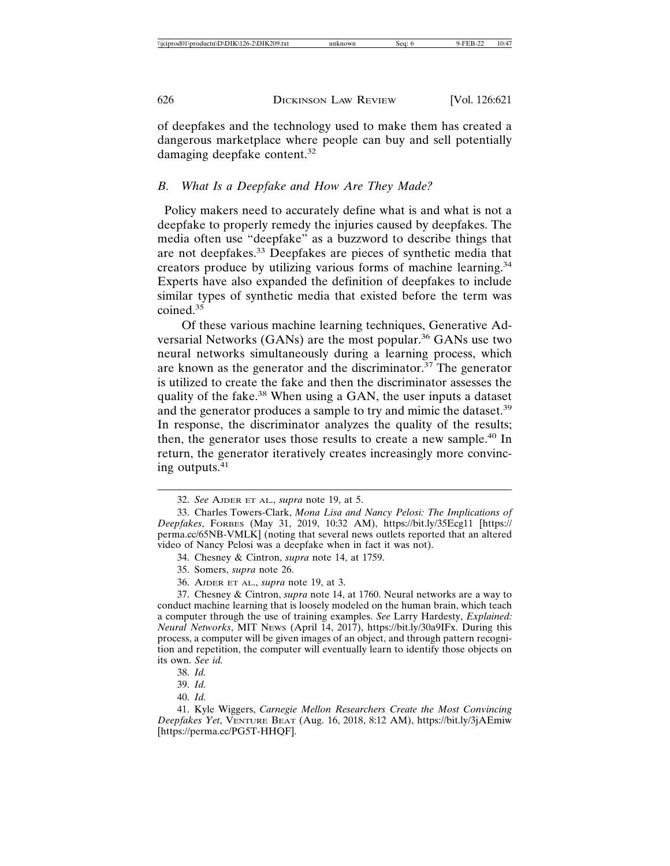of deepfakes and the technology used to make them has created a dangerous marketplace where people can buy and sell potentially damaging deepfake content.<sup>32</sup>

## *B. What Is a Deepfake and How Are They Made?*

 Policy makers need to accurately define what is and what is not a deepfake to properly remedy the injuries caused by deepfakes. The media often use "deepfake" as a buzzword to describe things that are not deepfakes.33 Deepfakes are pieces of synthetic media that creators produce by utilizing various forms of machine learning.<sup>34</sup> Experts have also expanded the definition of deepfakes to include similar types of synthetic media that existed before the term was coined.<sup>35</sup>

Of these various machine learning techniques, Generative Adversarial Networks (GANs) are the most popular.<sup>36</sup> GANs use two neural networks simultaneously during a learning process, which are known as the generator and the discriminator.37 The generator is utilized to create the fake and then the discriminator assesses the quality of the fake.<sup>38</sup> When using a GAN, the user inputs a dataset and the generator produces a sample to try and mimic the dataset.<sup>39</sup> In response, the discriminator analyzes the quality of the results; then, the generator uses those results to create a new sample.<sup>40</sup> In return, the generator iteratively creates increasingly more convincing outputs. $41$ 

<sup>32.</sup> *See* AJDER ET AL., *supra* note 19, at 5.

<sup>33.</sup> Charles Towers-Clark, *Mona Lisa and Nancy Pelosi: The Implications of Deepfakes*, FORBES (May 31, 2019, 10:32 AM), https://bit.ly/35Ecg11 [https:// perma.cc/65NB-VMLK] (noting that several news outlets reported that an altered video of Nancy Pelosi was a deepfake when in fact it was not).

<sup>34.</sup> Chesney & Cintron, *supra* note 14, at 1759.

<sup>35.</sup> Somers, *supra* note 26.

<sup>36.</sup> AJDER ET AL., *supra* note 19, at 3.

<sup>37.</sup> Chesney & Cintron, *supra* note 14, at 1760. Neural networks are a way to conduct machine learning that is loosely modeled on the human brain, which teach a computer through the use of training examples. *See* Larry Hardesty, *Explained: Neural Networks*, MIT NEWS (April 14, 2017), https://bit.ly/30a9IFx. During this process, a computer will be given images of an object, and through pattern recognition and repetition, the computer will eventually learn to identify those objects on its own. *See id.*

<sup>38.</sup> *Id.*

<sup>39.</sup> *Id.*

<sup>40.</sup> *Id.*

<sup>41.</sup> Kyle Wiggers, *Carnegie Mellon Researchers Create the Most Convincing Deepfakes Yet*, VENTURE BEAT (Aug. 16, 2018, 8:12 AM), https://bit.ly/3jAEmiw [https://perma.cc/PG5T-HHQF].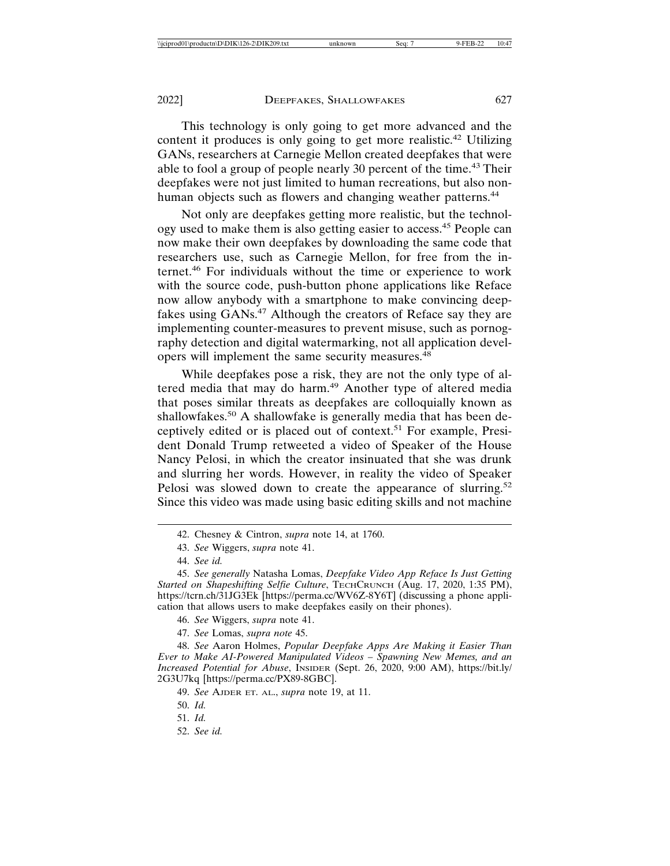This technology is only going to get more advanced and the content it produces is only going to get more realistic.<sup>42</sup> Utilizing GANs, researchers at Carnegie Mellon created deepfakes that were able to fool a group of people nearly 30 percent of the time.<sup>43</sup> Their deepfakes were not just limited to human recreations, but also nonhuman objects such as flowers and changing weather patterns.<sup>44</sup>

Not only are deepfakes getting more realistic, but the technology used to make them is also getting easier to access.45 People can now make their own deepfakes by downloading the same code that researchers use, such as Carnegie Mellon, for free from the internet.46 For individuals without the time or experience to work with the source code, push-button phone applications like Reface now allow anybody with a smartphone to make convincing deepfakes using GANs.<sup>47</sup> Although the creators of Reface say they are implementing counter-measures to prevent misuse, such as pornography detection and digital watermarking, not all application developers will implement the same security measures.<sup>48</sup>

While deepfakes pose a risk, they are not the only type of altered media that may do harm.<sup>49</sup> Another type of altered media that poses similar threats as deepfakes are colloquially known as shallowfakes.<sup>50</sup> A shallowfake is generally media that has been deceptively edited or is placed out of context.51 For example, President Donald Trump retweeted a video of Speaker of the House Nancy Pelosi, in which the creator insinuated that she was drunk and slurring her words. However, in reality the video of Speaker Pelosi was slowed down to create the appearance of slurring.<sup>52</sup> Since this video was made using basic editing skills and not machine

<sup>42.</sup> Chesney & Cintron, *supra* note 14, at 1760.

<sup>43.</sup> *See* Wiggers, *supra* note 41.

<sup>44.</sup> *See id.*

<sup>45.</sup> *See generally* Natasha Lomas, *Deepfake Video App Reface Is Just Getting Started on Shapeshifting Selfie Culture*, TECHCRUNCH (Aug. 17, 2020, 1:35 PM), https://tcrn.ch/31JG3Ek [https://perma.cc/WV6Z-8Y6T] (discussing a phone application that allows users to make deepfakes easily on their phones).

<sup>46.</sup> *See* Wiggers, *supra* note 41.

<sup>47.</sup> *See* Lomas, *supra note* 45.

<sup>48.</sup> *See* Aaron Holmes, *Popular Deepfake Apps Are Making it Easier Than Ever to Make AI-Powered Manipulated Videos – Spawning New Memes, and an Increased Potential for Abuse*, INSIDER (Sept. 26, 2020, 9:00 AM), https://bit.ly/ 2G3U7kq [https://perma.cc/PX89-8GBC].

<sup>49.</sup> *See* AJDER ET. AL., *supra* note 19, at 11.

<sup>50.</sup> *Id.*

<sup>51.</sup> *Id.*

<sup>52.</sup> *See id.*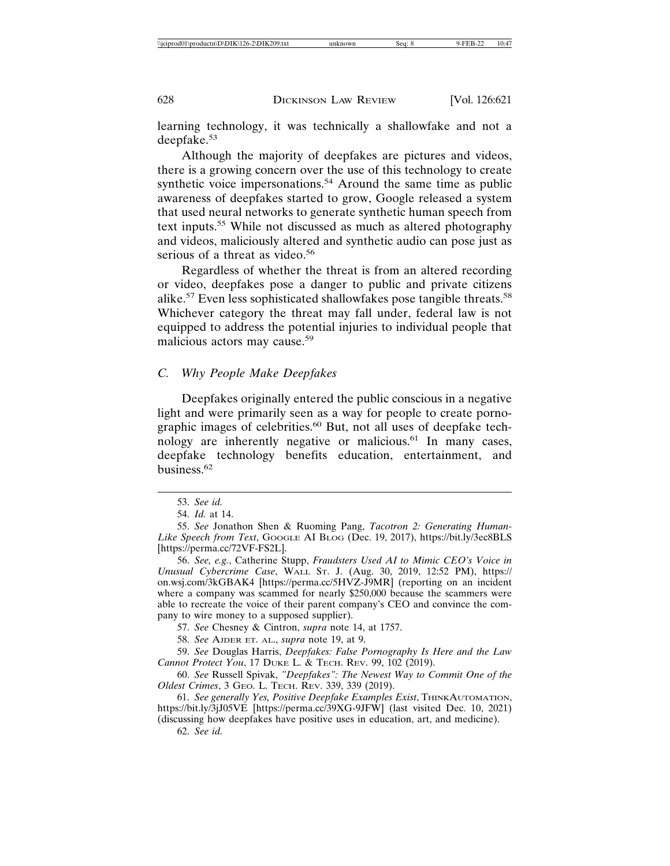learning technology, it was technically a shallowfake and not a deepfake.<sup>53</sup>

Although the majority of deepfakes are pictures and videos, there is a growing concern over the use of this technology to create synthetic voice impersonations.<sup>54</sup> Around the same time as public awareness of deepfakes started to grow, Google released a system that used neural networks to generate synthetic human speech from text inputs.55 While not discussed as much as altered photography and videos, maliciously altered and synthetic audio can pose just as serious of a threat as video.<sup>56</sup>

Regardless of whether the threat is from an altered recording or video, deepfakes pose a danger to public and private citizens alike.<sup>57</sup> Even less sophisticated shallowfakes pose tangible threats.<sup>58</sup> Whichever category the threat may fall under, federal law is not equipped to address the potential injuries to individual people that malicious actors may cause.<sup>59</sup>

## *C. Why People Make Deepfakes*

Deepfakes originally entered the public conscious in a negative light and were primarily seen as a way for people to create pornographic images of celebrities.<sup>60</sup> But, not all uses of deepfake technology are inherently negative or malicious.<sup>61</sup> In many cases, deepfake technology benefits education, entertainment, and business.62

56. *See, e.g.*, Catherine Stupp, *Fraudsters Used AI to Mimic CEO's Voice in Unusual Cybercrime Case*, WALL ST. J. (Aug. 30, 2019, 12:52 PM), https:// on.wsj.com/3kGBAK4 [https://perma.cc/5HVZ-J9MR] (reporting on an incident where a company was scammed for nearly \$250,000 because the scammers were able to recreate the voice of their parent company's CEO and convince the company to wire money to a supposed supplier).

57. *See* Chesney & Cintron, *supra* note 14, at 1757.

58. *See* AJDER ET. AL., *supra* note 19, at 9.

59. *See* Douglas Harris, *Deepfakes: False Pornography Is Here and the Law Cannot Protect You*, 17 DUKE L. & TECH. REV. 99, 102 (2019).

60. *See* Russell Spivak, *"Deepfakes": The Newest Way to Commit One of the Oldest Crimes*, 3 GEO. L. TECH. REV. 339, 339 (2019).

61. *See generally Yes, Positive Deepfake Examples Exist*, THINKAUTOMATION, https://bit.ly/3jJ05VE [https://perma.cc/39XG-9JFW] (last visited Dec. 10, 2021)

(discussing how deepfakes have positive uses in education, art, and medicine). 62. *See id.*

<sup>53.</sup> *See id.*

<sup>54.</sup> *Id.* at 14.

<sup>55.</sup> *See* Jonathon Shen & Ruoming Pang, *Tacotron 2: Generating Human-Like Speech from Text*, GOOGLE AI BLOG (Dec. 19, 2017), https://bit.ly/3ec8BLS [https://perma.cc/72VF-FS2L].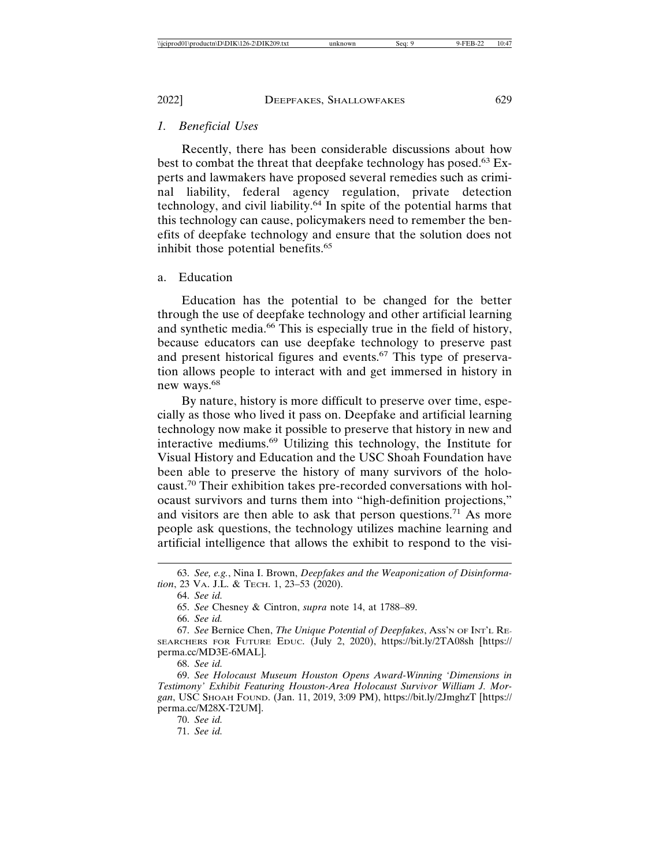## *1. Beneficial Uses*

Recently, there has been considerable discussions about how best to combat the threat that deepfake technology has posed.<sup>63</sup> Experts and lawmakers have proposed several remedies such as criminal liability, federal agency regulation, private detection technology, and civil liability.64 In spite of the potential harms that this technology can cause, policymakers need to remember the benefits of deepfake technology and ensure that the solution does not inhibit those potential benefits.<sup>65</sup>

## a. Education

Education has the potential to be changed for the better through the use of deepfake technology and other artificial learning and synthetic media.<sup>66</sup> This is especially true in the field of history, because educators can use deepfake technology to preserve past and present historical figures and events.<sup>67</sup> This type of preservation allows people to interact with and get immersed in history in new ways.<sup>68</sup>

By nature, history is more difficult to preserve over time, especially as those who lived it pass on. Deepfake and artificial learning technology now make it possible to preserve that history in new and interactive mediums.69 Utilizing this technology, the Institute for Visual History and Education and the USC Shoah Foundation have been able to preserve the history of many survivors of the holocaust.70 Their exhibition takes pre-recorded conversations with holocaust survivors and turns them into "high-definition projections," and visitors are then able to ask that person questions.<sup>71</sup> As more people ask questions, the technology utilizes machine learning and artificial intelligence that allows the exhibit to respond to the visi-

68. *See id.*

70. *See id.*

71. *See id.*

<sup>63.</sup> *See, e.g.*, Nina I. Brown, *Deepfakes and the Weaponization of Disinformation*, 23 VA. J.L. & TECH. 1, 23–53 (2020).

<sup>64.</sup> *See id.*

<sup>65.</sup> *See* Chesney & Cintron, *supra* note 14, at 1788–89.

<sup>66.</sup> *See id.*

<sup>67.</sup> *See* Bernice Chen, *The Unique Potential of Deepfakes*, ASS'N OF INT'L RE-SEARCHERS FOR FUTURE EDUC. (July 2, 2020), https://bit.ly/2TA08sh [https:// perma.cc/MD3E-6MAL].

<sup>69.</sup> *See Holocaust Museum Houston Opens Award-Winning 'Dimensions in Testimony' Exhibit Featuring Houston-Area Holocaust Survivor William J. Morgan*, USC SHOAH FOUND. (Jan. 11, 2019, 3:09 PM), https://bit.ly/2JmghzT [https:// perma.cc/M28X-T2UM].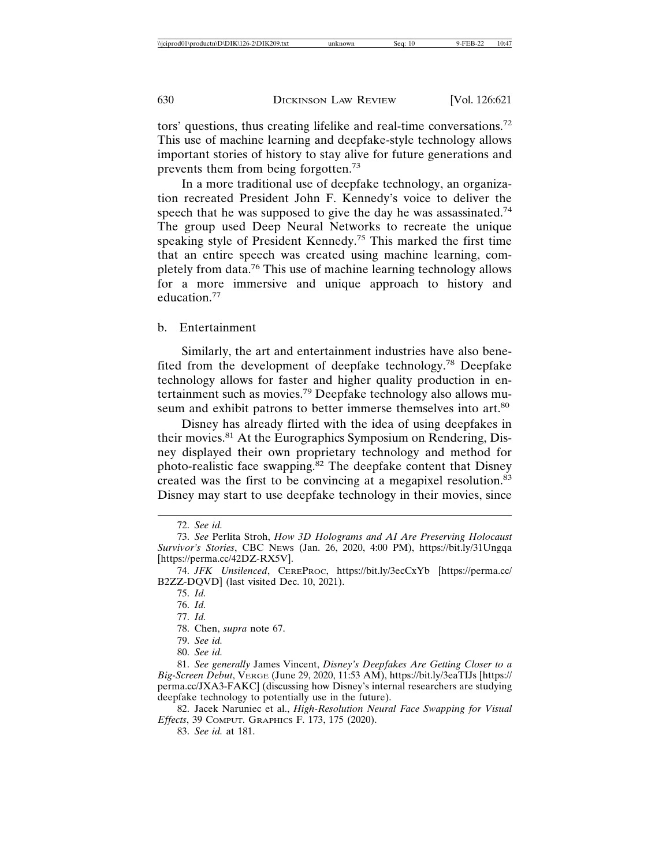tors' questions, thus creating lifelike and real-time conversations.<sup>72</sup> This use of machine learning and deepfake-style technology allows important stories of history to stay alive for future generations and prevents them from being forgotten.<sup>73</sup>

In a more traditional use of deepfake technology, an organization recreated President John F. Kennedy's voice to deliver the speech that he was supposed to give the day he was assassinated.<sup>74</sup> The group used Deep Neural Networks to recreate the unique speaking style of President Kennedy.<sup>75</sup> This marked the first time that an entire speech was created using machine learning, completely from data.76 This use of machine learning technology allows for a more immersive and unique approach to history and education.77

#### b. Entertainment

Similarly, the art and entertainment industries have also benefited from the development of deepfake technology.78 Deepfake technology allows for faster and higher quality production in entertainment such as movies.79 Deepfake technology also allows museum and exhibit patrons to better immerse themselves into art.<sup>80</sup>

Disney has already flirted with the idea of using deepfakes in their movies.<sup>81</sup> At the Eurographics Symposium on Rendering, Disney displayed their own proprietary technology and method for photo-realistic face swapping.<sup>82</sup> The deepfake content that Disney created was the first to be convincing at a megapixel resolution.<sup>83</sup> Disney may start to use deepfake technology in their movies, since

77. *Id.*

<sup>72.</sup> *See id.*

<sup>73.</sup> *See* Perlita Stroh, *How 3D Holograms and AI Are Preserving Holocaust Survivor's Stories*, CBC NEWS (Jan. 26, 2020, 4:00 PM), https://bit.ly/31Ungqa [https://perma.cc/42DZ-RX5V].

<sup>74.</sup> *JFK Unsilenced*, CEREPROC, https://bit.ly/3ecCxYb [https://perma.cc/ B2ZZ-DQVD] (last visited Dec. 10, 2021).

<sup>75.</sup> *Id.*

<sup>76.</sup> *Id.*

<sup>78.</sup> Chen, *supra* note 67.

<sup>79.</sup> *See id.*

<sup>80.</sup> *See id.*

<sup>81.</sup> *See generally* James Vincent, *Disney's Deepfakes Are Getting Closer to a Big-Screen Debut*, VERGE (June 29, 2020, 11:53 AM), https://bit.ly/3eaTIJs [https:// perma.cc/JXA3-FAKC] (discussing how Disney's internal researchers are studying deepfake technology to potentially use in the future).

<sup>82.</sup> Jacek Naruniec et al., *High-Resolution Neural Face Swapping for Visual Effects*, 39 COMPUT. GRAPHICS F. 173, 175 (2020).

<sup>83.</sup> *See id.* at 181.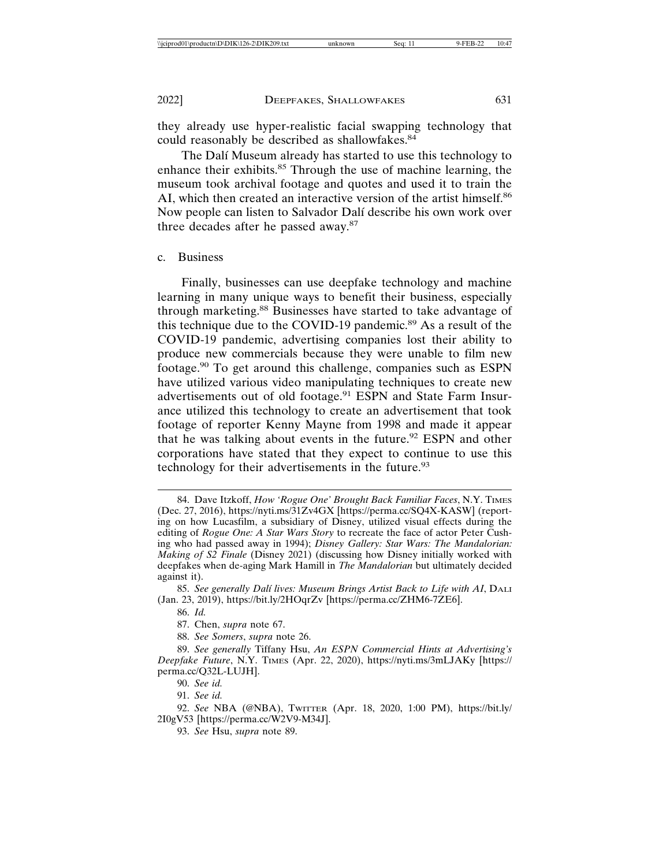they already use hyper-realistic facial swapping technology that could reasonably be described as shallowfakes.<sup>84</sup>

The Dalí Museum already has started to use this technology to enhance their exhibits.<sup>85</sup> Through the use of machine learning, the museum took archival footage and quotes and used it to train the AI, which then created an interactive version of the artist himself.<sup>86</sup> Now people can listen to Salvador Dalí describe his own work over three decades after he passed away.<sup>87</sup>

#### c. Business

Finally, businesses can use deepfake technology and machine learning in many unique ways to benefit their business, especially through marketing.88 Businesses have started to take advantage of this technique due to the COVID-19 pandemic.89 As a result of the COVID-19 pandemic, advertising companies lost their ability to produce new commercials because they were unable to film new footage.90 To get around this challenge, companies such as ESPN have utilized various video manipulating techniques to create new advertisements out of old footage.<sup>91</sup> ESPN and State Farm Insurance utilized this technology to create an advertisement that took footage of reporter Kenny Mayne from 1998 and made it appear that he was talking about events in the future.<sup>92</sup> ESPN and other corporations have stated that they expect to continue to use this technology for their advertisements in the future.<sup>93</sup>

90. *See id.*

91. *See id.*

92. *See* NBA (@NBA), TWITTER (Apr. 18, 2020, 1:00 PM), https://bit.ly/ 2I0gV53 [https://perma.cc/W2V9-M34J].

93. *See* Hsu, *supra* note 89.

<sup>84.</sup> Dave Itzkoff, *How 'Rogue One' Brought Back Familiar Faces*, N.Y. TIMES (Dec. 27, 2016), https://nyti.ms/31Zv4GX [https://perma.cc/SQ4X-KASW] (reporting on how Lucasfilm, a subsidiary of Disney, utilized visual effects during the editing of *Rogue One: A Star Wars Story* to recreate the face of actor Peter Cushing who had passed away in 1994); *Disney Gallery: Star Wars: The Mandalorian: Making of S2 Finale* (Disney 2021) (discussing how Disney initially worked with deepfakes when de-aging Mark Hamill in *The Mandalorian* but ultimately decided against it).

<sup>85.</sup> *See generally Dal´ı lives: Museum Brings Artist Back to Life with AI*, DALI (Jan. 23, 2019), https://bit.ly/2HOqrZv [https://perma.cc/ZHM6-7ZE6].

<sup>86.</sup> *Id.*

<sup>87.</sup> Chen, *supra* note 67.

<sup>88.</sup> *See Somers*, *supra* note 26.

<sup>89.</sup> *See generally* Tiffany Hsu, *An ESPN Commercial Hints at Advertising's Deepfake Future*, N.Y. TIMES (Apr. 22, 2020), https://nyti.ms/3mLJAKy [https:// perma.cc/Q32L-LUJH].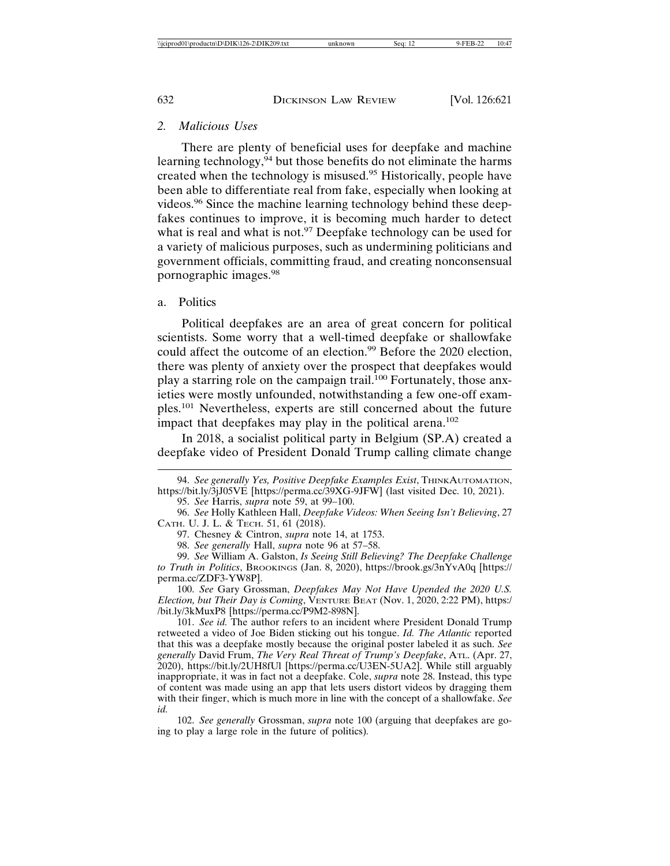## *2. Malicious Uses*

There are plenty of beneficial uses for deepfake and machine learning technology,  $94$  but those benefits do not eliminate the harms created when the technology is misused.95 Historically, people have been able to differentiate real from fake, especially when looking at videos.96 Since the machine learning technology behind these deepfakes continues to improve, it is becoming much harder to detect what is real and what is not.<sup>97</sup> Deepfake technology can be used for a variety of malicious purposes, such as undermining politicians and government officials, committing fraud, and creating nonconsensual pornographic images.98

#### a. Politics

Political deepfakes are an area of great concern for political scientists. Some worry that a well-timed deepfake or shallowfake could affect the outcome of an election.<sup>99</sup> Before the 2020 election, there was plenty of anxiety over the prospect that deepfakes would play a starring role on the campaign trail.<sup>100</sup> Fortunately, those anxieties were mostly unfounded, notwithstanding a few one-off examples.101 Nevertheless, experts are still concerned about the future impact that deepfakes may play in the political arena.<sup>102</sup>

In 2018, a socialist political party in Belgium (SP.A) created a deepfake video of President Donald Trump calling climate change

101. *See id.* The author refers to an incident where President Donald Trump retweeted a video of Joe Biden sticking out his tongue. *Id. The Atlantic* reported that this was a deepfake mostly because the original poster labeled it as such. *See generally* David Frum, *The Very Real Threat of Trump's Deepfake*, ATL. (Apr. 27, 2020), https://bit.ly/2UH8fUl [https://perma.cc/U3EN-5UA2]. While still arguably inappropriate, it was in fact not a deepfake. Cole, *supra* note 28. Instead, this type of content was made using an app that lets users distort videos by dragging them with their finger, which is much more in line with the concept of a shallowfake. *See id.*

102. *See generally* Grossman, *supra* note 100 (arguing that deepfakes are going to play a large role in the future of politics)*.*

<sup>94.</sup> *See generally Yes, Positive Deepfake Examples Exist*, THINKAUTOMATION, https://bit.ly/3jJ05VE [https://perma.cc/39XG-9JFW] (last visited Dec. 10, 2021).

<sup>95.</sup> *See* Harris, *supra* note 59, at 99–100.

<sup>96.</sup> *See* Holly Kathleen Hall, *Deepfake Videos: When Seeing Isn't Believing*, 27 CATH. U. J. L. & TECH. 51, 61 (2018).

<sup>97.</sup> Chesney & Cintron, *supra* note 14, at 1753.

<sup>98.</sup> *See generally* Hall, *supra* note 96 at 57–58.

<sup>99.</sup> *See* William A. Galston, *Is Seeing Still Believing? The Deepfake Challenge to Truth in Politics*, BROOKINGS (Jan. 8, 2020), https://brook.gs/3nYvA0q [https:// perma.cc/ZDF3-YW8P].

<sup>100.</sup> *See* Gary Grossman, *Deepfakes May Not Have Upended the 2020 U.S. Election, but Their Day is Coming*, VENTURE BEAT (Nov. 1, 2020, 2:22 PM), https:/ /bit.ly/3kMuxP8 [https://perma.cc/P9M2-898N].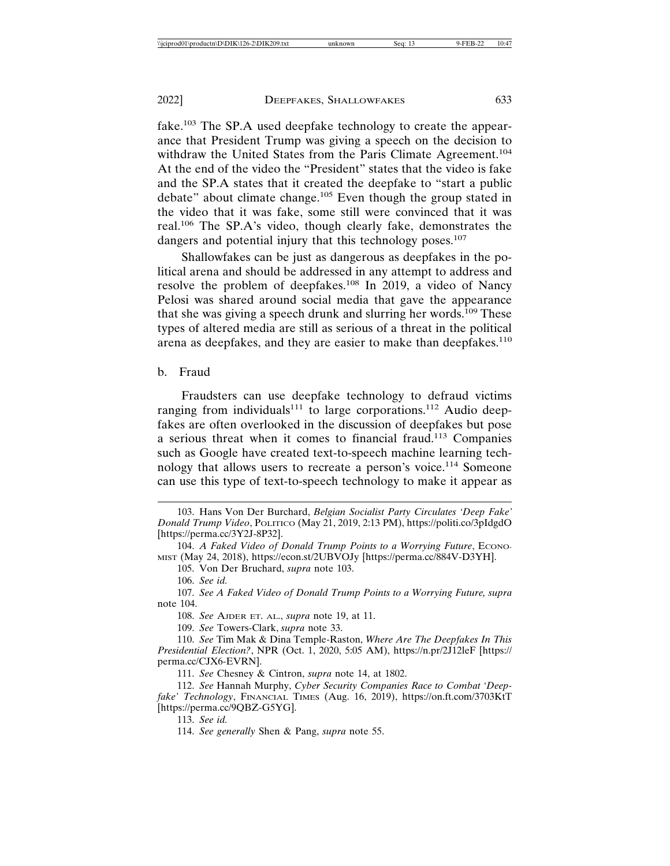fake.103 The SP.A used deepfake technology to create the appearance that President Trump was giving a speech on the decision to withdraw the United States from the Paris Climate Agreement.<sup>104</sup> At the end of the video the "President" states that the video is fake and the SP.A states that it created the deepfake to "start a public debate" about climate change.<sup>105</sup> Even though the group stated in the video that it was fake, some still were convinced that it was real.106 The SP.A's video, though clearly fake, demonstrates the dangers and potential injury that this technology poses.<sup>107</sup>

Shallowfakes can be just as dangerous as deepfakes in the political arena and should be addressed in any attempt to address and resolve the problem of deepfakes.108 In 2019, a video of Nancy Pelosi was shared around social media that gave the appearance that she was giving a speech drunk and slurring her words.<sup>109</sup> These types of altered media are still as serious of a threat in the political arena as deepfakes, and they are easier to make than deepfakes.<sup>110</sup>

#### b. Fraud

Fraudsters can use deepfake technology to defraud victims ranging from individuals<sup>111</sup> to large corporations.<sup>112</sup> Audio deepfakes are often overlooked in the discussion of deepfakes but pose a serious threat when it comes to financial fraud.113 Companies such as Google have created text-to-speech machine learning technology that allows users to recreate a person's voice.114 Someone can use this type of text-to-speech technology to make it appear as

105. Von Der Bruchard, *supra* note 103.

108. *See* AJDER ET. AL., *supra* note 19, at 11.

109. *See* Towers-Clark, *supra* note 33.

110. *See* Tim Mak & Dina Temple-Raston, *Where Are The Deepfakes In This Presidential Election?*, NPR (Oct. 1, 2020, 5:05 AM), https://n.pr/2J12leF [https:// perma.cc/CJX6-EVRN].

111. *See* Chesney & Cintron, *supra* note 14, at 1802.

112. *See* Hannah Murphy, *Cyber Security Companies Race to Combat 'Deepfake' Technology*, FINANCIAL TIMES (Aug. 16, 2019), https://on.ft.com/3703KtT [https://perma.cc/9QBZ-G5YG].

113. *See id.*

<sup>103.</sup> Hans Von Der Burchard, *Belgian Socialist Party Circulates 'Deep Fake' Donald Trump Video*, POLITICO (May 21, 2019, 2:13 PM), https://politi.co/3pIdgdO [https://perma.cc/3Y2J-8P32].

<sup>104.</sup> *A Faked Video of Donald Trump Points to a Worrying Future*, ECONO-MIST (May 24, 2018), https://econ.st/2UBVOJy [https://perma.cc/884V-D3YH].

<sup>106.</sup> *See id.*

<sup>107.</sup> *See A Faked Video of Donald Trump Points to a Worrying Future, supra* note 104.

<sup>114.</sup> *See generally* Shen & Pang, *supra* note 55.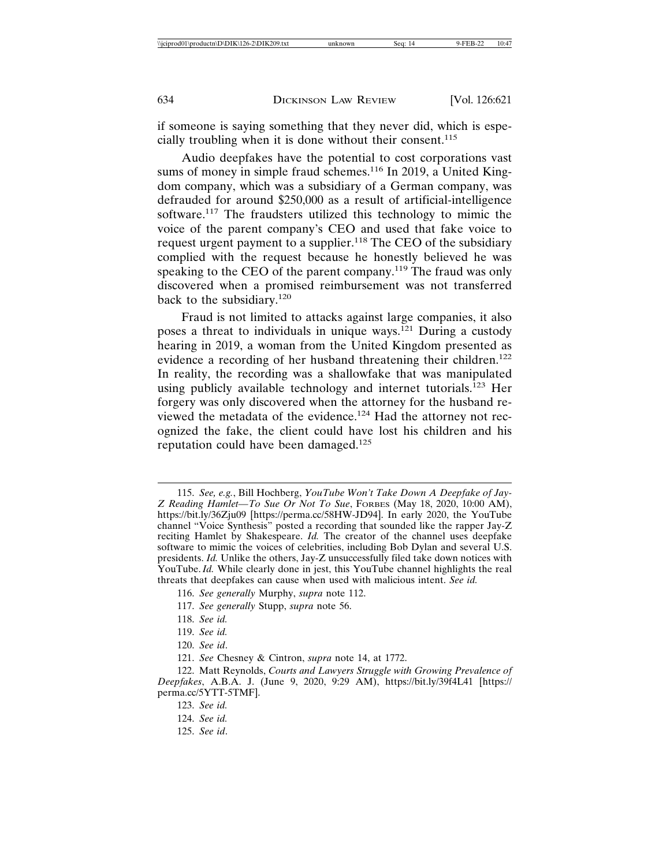if someone is saying something that they never did, which is especially troubling when it is done without their consent.<sup>115</sup>

Audio deepfakes have the potential to cost corporations vast sums of money in simple fraud schemes.<sup>116</sup> In 2019, a United Kingdom company, which was a subsidiary of a German company, was defrauded for around \$250,000 as a result of artificial-intelligence software.<sup>117</sup> The fraudsters utilized this technology to mimic the voice of the parent company's CEO and used that fake voice to request urgent payment to a supplier.<sup>118</sup> The CEO of the subsidiary complied with the request because he honestly believed he was speaking to the CEO of the parent company.<sup>119</sup> The fraud was only discovered when a promised reimbursement was not transferred back to the subsidiary.<sup>120</sup>

Fraud is not limited to attacks against large companies, it also poses a threat to individuals in unique ways.121 During a custody hearing in 2019, a woman from the United Kingdom presented as evidence a recording of her husband threatening their children.<sup>122</sup> In reality, the recording was a shallowfake that was manipulated using publicly available technology and internet tutorials.<sup>123</sup> Her forgery was only discovered when the attorney for the husband reviewed the metadata of the evidence.124 Had the attorney not recognized the fake, the client could have lost his children and his reputation could have been damaged.<sup>125</sup>

117. *See generally* Stupp, *supra* note 56.

119. *See id.*

<sup>115.</sup> *See, e.g.*, Bill Hochberg, *YouTube Won't Take Down A Deepfake of Jay-Z Reading Hamlet—To Sue Or Not To Sue*, FORBES (May 18, 2020, 10:00 AM), https://bit.ly/36Zju09 [https://perma.cc/58HW-JD94]. In early 2020, the YouTube channel "Voice Synthesis" posted a recording that sounded like the rapper Jay-Z reciting Hamlet by Shakespeare. *Id.* The creator of the channel uses deepfake software to mimic the voices of celebrities, including Bob Dylan and several U.S. presidents. *Id.* Unlike the others, Jay-Z unsuccessfully filed take down notices with YouTube. *Id.* While clearly done in jest, this YouTube channel highlights the real threats that deepfakes can cause when used with malicious intent. *See id.*

<sup>116.</sup> *See generally* Murphy, *supra* note 112.

<sup>118.</sup> *See id.*

<sup>120.</sup> *See id*.

<sup>121.</sup> *See* Chesney & Cintron, *supra* note 14, at 1772.

<sup>122.</sup> Matt Reynolds, *Courts and Lawyers Struggle with Growing Prevalence of Deepfakes*, A.B.A. J. (June 9, 2020, 9:29 AM), https://bit.ly/39f4L41 [https:// perma.cc/5YTT-5TMF].

<sup>123.</sup> *See id.*

<sup>124.</sup> *See id.*

<sup>125.</sup> *See id*.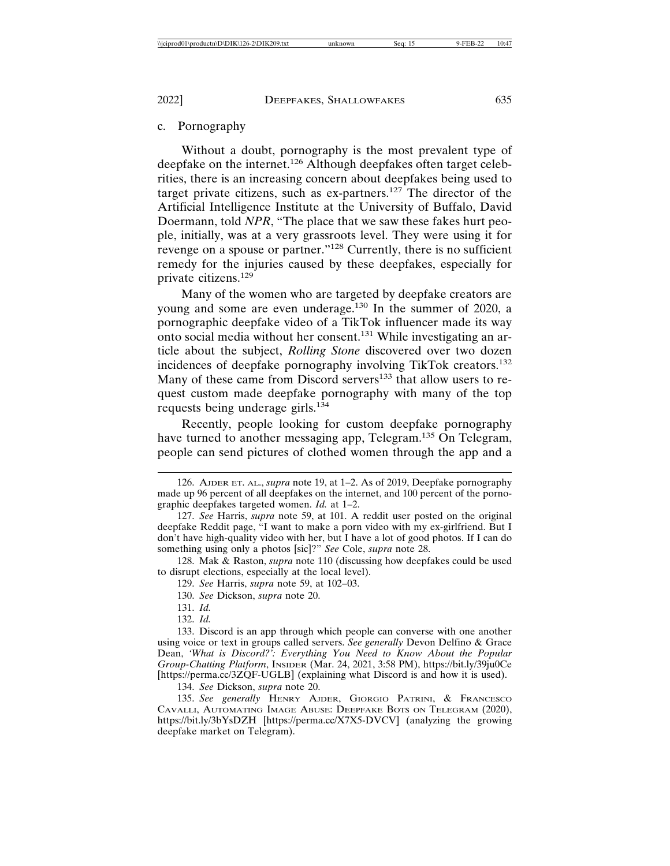## c. Pornography

Without a doubt, pornography is the most prevalent type of deepfake on the internet.<sup>126</sup> Although deepfakes often target celebrities, there is an increasing concern about deepfakes being used to target private citizens, such as ex-partners.127 The director of the Artificial Intelligence Institute at the University of Buffalo, David Doermann, told *NPR*, "The place that we saw these fakes hurt people, initially, was at a very grassroots level. They were using it for revenge on a spouse or partner."128 Currently, there is no sufficient remedy for the injuries caused by these deepfakes, especially for private citizens.<sup>129</sup>

Many of the women who are targeted by deepfake creators are young and some are even underage.<sup>130</sup> In the summer of 2020, a pornographic deepfake video of a TikTok influencer made its way onto social media without her consent.131 While investigating an article about the subject, *Rolling Stone* discovered over two dozen incidences of deepfake pornography involving TikTok creators.<sup>132</sup> Many of these came from Discord servers<sup>133</sup> that allow users to request custom made deepfake pornography with many of the top requests being underage girls.<sup>134</sup>

Recently, people looking for custom deepfake pornography have turned to another messaging app, Telegram.<sup>135</sup> On Telegram, people can send pictures of clothed women through the app and a

128. Mak & Raston, *supra* note 110 (discussing how deepfakes could be used to disrupt elections, especially at the local level).

129. *See* Harris, *supra* note 59, at 102–03.

130. *See* Dickson, *supra* note 20.

131. *Id.*

132. *Id.*

133. Discord is an app through which people can converse with one another using voice or text in groups called servers. *See generally* Devon Delfino & Grace Dean, *'What is Discord?': Everything You Need to Know About the Popular Group-Chatting Platform*, INSIDER (Mar. 24, 2021, 3:58 PM), https://bit.ly/39ju0Ce [https://perma.cc/3ZQF-UGLB] (explaining what Discord is and how it is used).

134. *See* Dickson, *supra* note 20.

135. *See generally* HENRY AJDER, GIORGIO PATRINI, & FRANCESCO CAVALLI, AUTOMATING IMAGE ABUSE: DEEPFAKE BOTS ON TELEGRAM (2020), https://bit.ly/3bYsDZH [https://perma.cc/X7X5-DVCV] (analyzing the growing deepfake market on Telegram).

<sup>126.</sup> AJDER ET. AL., *supra* note 19, at 1–2. As of 2019, Deepfake pornography made up 96 percent of all deepfakes on the internet, and 100 percent of the pornographic deepfakes targeted women. *Id.* at 1–2.

<sup>127.</sup> *See* Harris, *supra* note 59, at 101. A reddit user posted on the original deepfake Reddit page, "I want to make a porn video with my ex-girlfriend. But I don't have high-quality video with her, but I have a lot of good photos. If I can do something using only a photos [sic]?" *See* Cole, *supra* note 28.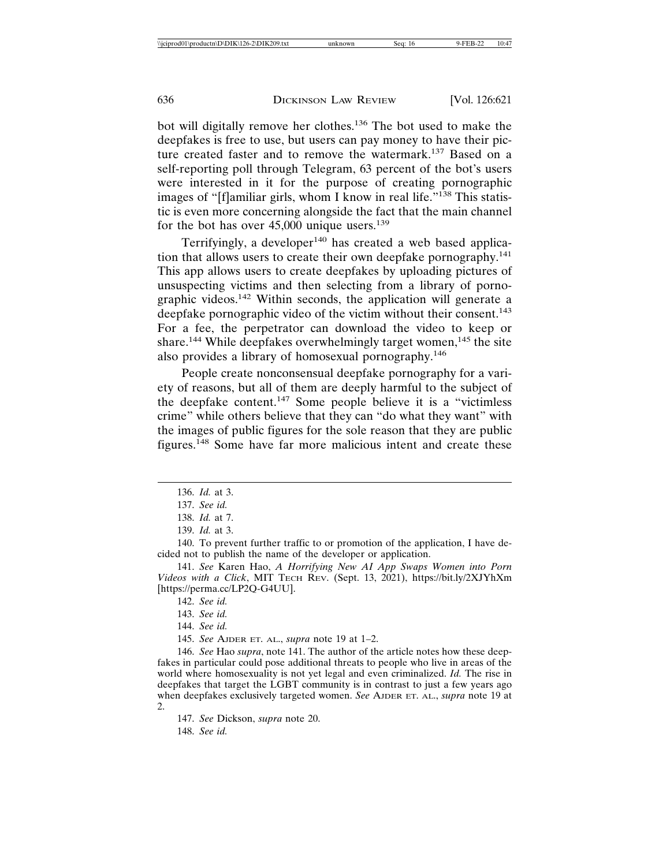bot will digitally remove her clothes.136 The bot used to make the deepfakes is free to use, but users can pay money to have their picture created faster and to remove the watermark.137 Based on a self-reporting poll through Telegram, 63 percent of the bot's users were interested in it for the purpose of creating pornographic images of "[f]amiliar girls, whom I know in real life."138 This statistic is even more concerning alongside the fact that the main channel for the bot has over 45,000 unique users.<sup>139</sup>

Terrifyingly, a developer $140$  has created a web based application that allows users to create their own deepfake pornography.<sup>141</sup> This app allows users to create deepfakes by uploading pictures of unsuspecting victims and then selecting from a library of pornographic videos.142 Within seconds, the application will generate a deepfake pornographic video of the victim without their consent.<sup>143</sup> For a fee, the perpetrator can download the video to keep or share.<sup>144</sup> While deepfakes overwhelmingly target women,<sup>145</sup> the site also provides a library of homosexual pornography.<sup>146</sup>

People create nonconsensual deepfake pornography for a variety of reasons, but all of them are deeply harmful to the subject of the deepfake content.147 Some people believe it is a "victimless crime" while others believe that they can "do what they want" with the images of public figures for the sole reason that they are public figures.148 Some have far more malicious intent and create these

140. To prevent further traffic to or promotion of the application, I have decided not to publish the name of the developer or application.

141. *See* Karen Hao, *A Horrifying New AI App Swaps Women into Porn Videos with a Click*, MIT TECH REV. (Sept. 13, 2021), https://bit.ly/2XJYhXm [https://perma.cc/LP2Q-G4UU].

- 143. *See id.*
- 144. *See id.*

145. *See* AJDER ET. AL., *supra* note 19 at 1–2.

146. *See* Hao *supra*, note 141. The author of the article notes how these deepfakes in particular could pose additional threats to people who live in areas of the world where homosexuality is not yet legal and even criminalized. *Id.* The rise in deepfakes that target the LGBT community is in contrast to just a few years ago when deepfakes exclusively targeted women. *See* AJDER ET. AL., *supra* note 19 at  $2^{\circ}$ 

147. *See* Dickson, *supra* note 20. 148. *See id.*

<sup>136.</sup> *Id.* at 3.

<sup>137.</sup> *See id.*

<sup>138.</sup> *Id.* at 7.

<sup>139.</sup> *Id.* at 3.

<sup>142.</sup> *See id.*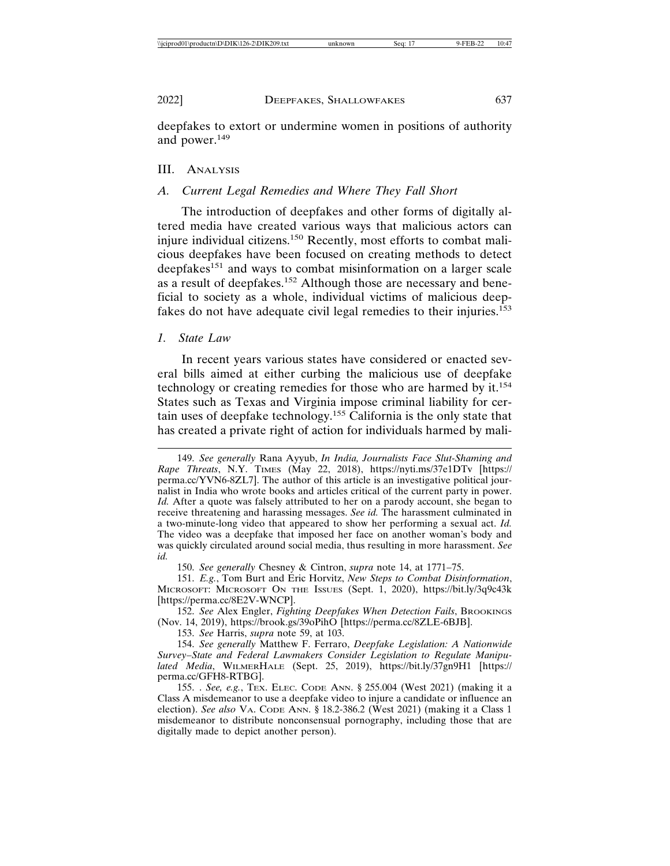deepfakes to extort or undermine women in positions of authority and power.<sup>149</sup>

## III. ANALYSIS

#### *A. Current Legal Remedies and Where They Fall Short*

The introduction of deepfakes and other forms of digitally altered media have created various ways that malicious actors can injure individual citizens.150 Recently, most efforts to combat malicious deepfakes have been focused on creating methods to detect deepfakes<sup>151</sup> and ways to combat misinformation on a larger scale as a result of deepfakes.152 Although those are necessary and beneficial to society as a whole, individual victims of malicious deepfakes do not have adequate civil legal remedies to their injuries.<sup>153</sup>

#### *1. State Law*

In recent years various states have considered or enacted several bills aimed at either curbing the malicious use of deepfake technology or creating remedies for those who are harmed by it.<sup>154</sup> States such as Texas and Virginia impose criminal liability for certain uses of deepfake technology.155 California is the only state that has created a private right of action for individuals harmed by mali-

150. *See generally* Chesney & Cintron, *supra* note 14, at 1771–75.

151. *E.g.*, Tom Burt and Eric Horvitz, *New Steps to Combat Disinformation*, MICROSOFT: MICROSOFT ON THE ISSUES (Sept. 1, 2020), https://bit.ly/3q9c43k [https://perma.cc/8E2V-WNCP].

152. *See* Alex Engler, *Fighting Deepfakes When Detection Fails*, BROOKINGS (Nov. 14, 2019), https://brook.gs/39oPihO [https://perma.cc/8ZLE-6BJB].

153. *See* Harris, *supra* note 59, at 103.

154. *See generally* Matthew F. Ferraro, *Deepfake Legislation: A Nationwide Survey–State and Federal Lawmakers Consider Legislation to Regulate Manipulated Media*, WILMERHALE (Sept. 25, 2019), https://bit.ly/37gn9H1 [https:// perma.cc/GFH8-RTBG].

155. . *See, e.g.*, TEX. ELEC. CODE ANN. § 255.004 (West 2021) (making it a Class A misdemeanor to use a deepfake video to injure a candidate or influence an election). *See also* VA. CODE ANN. § 18.2-386.2 (West 2021) (making it a Class 1 misdemeanor to distribute nonconsensual pornography, including those that are digitally made to depict another person).

<sup>149.</sup> *See generally* Rana Ayyub, *In India, Journalists Face Slut-Shaming and Rape Threats*, N.Y. TIMES (May 22, 2018), https://nyti.ms/37e1DTv [https:// perma.cc/YVN6-8ZL7]. The author of this article is an investigative political journalist in India who wrote books and articles critical of the current party in power. *Id.* After a quote was falsely attributed to her on a parody account, she began to receive threatening and harassing messages. *See id.* The harassment culminated in a two-minute-long video that appeared to show her performing a sexual act. *Id.* The video was a deepfake that imposed her face on another woman's body and was quickly circulated around social media, thus resulting in more harassment. *See id.*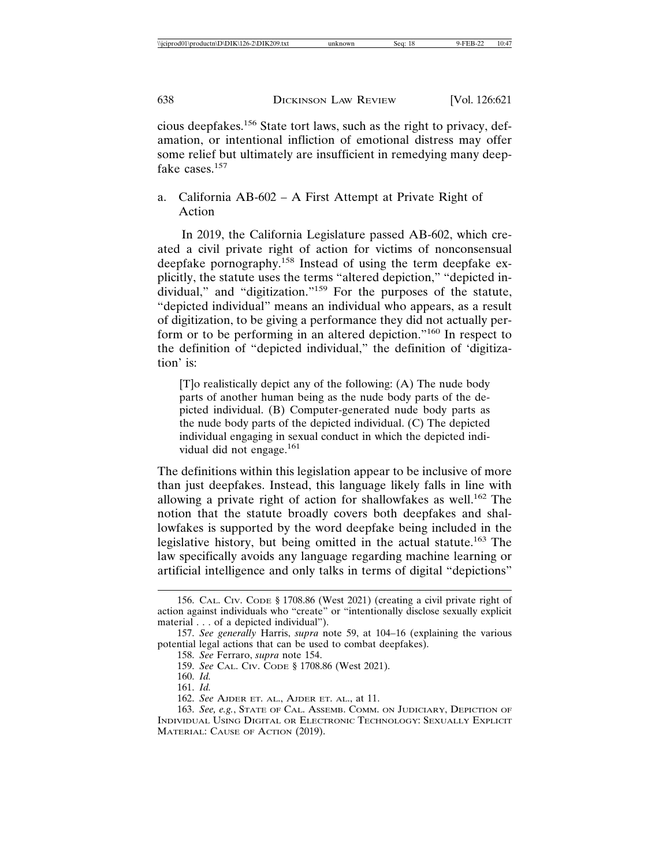cious deepfakes.156 State tort laws, such as the right to privacy, defamation, or intentional infliction of emotional distress may offer some relief but ultimately are insufficient in remedying many deepfake cases.<sup>157</sup>

## a. California AB-602 – A First Attempt at Private Right of Action

In 2019, the California Legislature passed AB-602, which created a civil private right of action for victims of nonconsensual deepfake pornography.158 Instead of using the term deepfake explicitly, the statute uses the terms "altered depiction," "depicted individual," and "digitization."<sup>159</sup> For the purposes of the statute, "depicted individual" means an individual who appears, as a result of digitization, to be giving a performance they did not actually perform or to be performing in an altered depiction."160 In respect to the definition of "depicted individual," the definition of 'digitization' is:

[T]o realistically depict any of the following: (A) The nude body parts of another human being as the nude body parts of the depicted individual. (B) Computer-generated nude body parts as the nude body parts of the depicted individual. (C) The depicted individual engaging in sexual conduct in which the depicted individual did not engage.<sup>161</sup>

The definitions within this legislation appear to be inclusive of more than just deepfakes. Instead, this language likely falls in line with allowing a private right of action for shallowfakes as well.<sup>162</sup> The notion that the statute broadly covers both deepfakes and shallowfakes is supported by the word deepfake being included in the legislative history, but being omitted in the actual statute.163 The law specifically avoids any language regarding machine learning or artificial intelligence and only talks in terms of digital "depictions"

158. *See* Ferraro, *supra* note 154.

<sup>156.</sup> CAL. CIV. CODE § 1708.86 (West 2021) (creating a civil private right of action against individuals who "create" or "intentionally disclose sexually explicit material . . . of a depicted individual").

<sup>157.</sup> *See generally* Harris, *supra* note 59, at 104–16 (explaining the various potential legal actions that can be used to combat deepfakes).

<sup>159.</sup> *See* CAL. CIV. CODE § 1708.86 (West 2021).

<sup>160.</sup> *Id.*

<sup>161.</sup> *Id.*

<sup>162.</sup> *See* AJDER ET. AL., AJDER ET. AL., at 11.

<sup>163.</sup> *See, e.g.*, STATE OF CAL. ASSEMB. COMM. ON JUDICIARY, DEPICTION OF INDIVIDUAL USING DIGITAL OR ELECTRONIC TECHNOLOGY: SEXUALLY EXPLICIT MATERIAL: CAUSE OF ACTION (2019).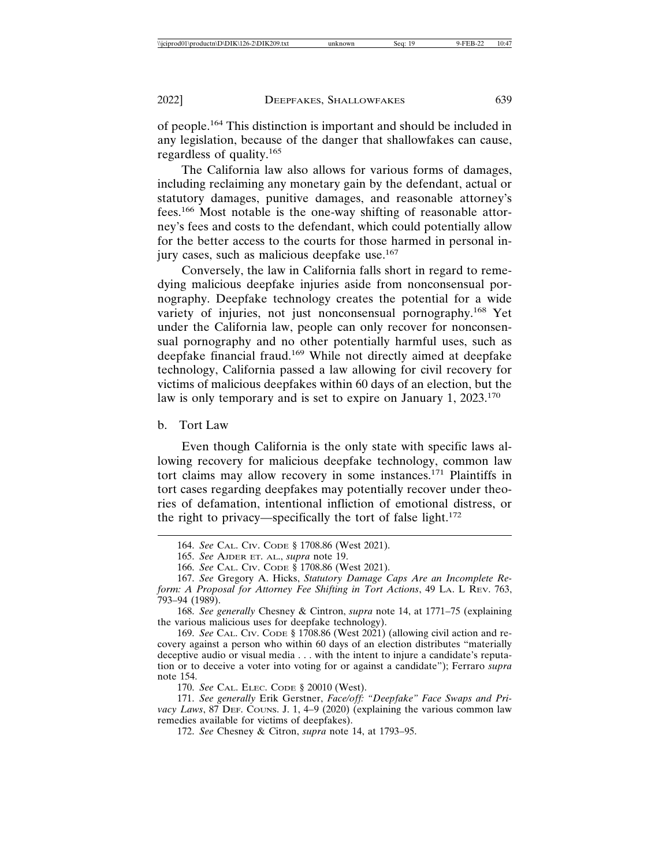of people.164 This distinction is important and should be included in any legislation, because of the danger that shallowfakes can cause, regardless of quality.<sup>165</sup>

The California law also allows for various forms of damages, including reclaiming any monetary gain by the defendant, actual or statutory damages, punitive damages, and reasonable attorney's fees.166 Most notable is the one-way shifting of reasonable attorney's fees and costs to the defendant, which could potentially allow for the better access to the courts for those harmed in personal injury cases, such as malicious deepfake use.<sup>167</sup>

Conversely, the law in California falls short in regard to remedying malicious deepfake injuries aside from nonconsensual pornography. Deepfake technology creates the potential for a wide variety of injuries, not just nonconsensual pornography.<sup>168</sup> Yet under the California law, people can only recover for nonconsensual pornography and no other potentially harmful uses, such as deepfake financial fraud.169 While not directly aimed at deepfake technology, California passed a law allowing for civil recovery for victims of malicious deepfakes within 60 days of an election, but the law is only temporary and is set to expire on January 1, 2023.<sup>170</sup>

b. Tort Law

Even though California is the only state with specific laws allowing recovery for malicious deepfake technology, common law tort claims may allow recovery in some instances.171 Plaintiffs in tort cases regarding deepfakes may potentially recover under theories of defamation, intentional infliction of emotional distress, or the right to privacy—specifically the tort of false light. $172$ 

168. *See generally* Chesney & Cintron, *supra* note 14, at 1771–75 (explaining the various malicious uses for deepfake technology).

169. *See* CAL. CIV. CODE § 1708.86 (West 2021) (allowing civil action and recovery against a person who within 60 days of an election distributes "materially deceptive audio or visual media . . . with the intent to injure a candidate's reputation or to deceive a voter into voting for or against a candidate"); Ferraro *supra* note 154.

170. *See* CAL. ELEC. CODE § 20010 (West).

171. *See generally* Erik Gerstner, *Face/off: "Deepfake" Face Swaps and Pri*vacy Laws, 87 DEF. Couns. J. 1, 4-9 (2020) (explaining the various common law remedies available for victims of deepfakes).

172. *See* Chesney & Citron, *supra* note 14, at 1793–95.

<sup>164.</sup> *See* CAL. CIV. CODE § 1708.86 (West 2021).

<sup>165.</sup> *See* AJDER ET. AL., *supra* note 19.

<sup>166.</sup> *See* CAL. CIV. CODE § 1708.86 (West 2021).

<sup>167.</sup> *See* Gregory A. Hicks, *Statutory Damage Caps Are an Incomplete Reform: A Proposal for Attorney Fee Shifting in Tort Actions*, 49 LA. L REV. 763, 793–94 (1989).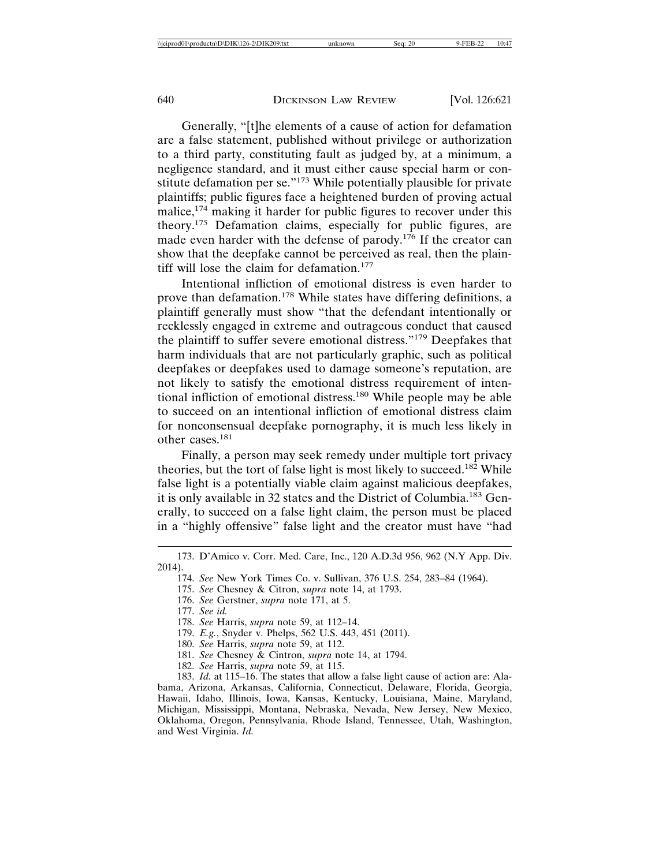Generally, "[t]he elements of a cause of action for defamation are a false statement, published without privilege or authorization to a third party, constituting fault as judged by, at a minimum, a negligence standard, and it must either cause special harm or constitute defamation per se."173 While potentially plausible for private plaintiffs; public figures face a heightened burden of proving actual malice,<sup>174</sup> making it harder for public figures to recover under this theory.175 Defamation claims, especially for public figures, are made even harder with the defense of parody.176 If the creator can show that the deepfake cannot be perceived as real, then the plaintiff will lose the claim for defamation.<sup>177</sup>

Intentional infliction of emotional distress is even harder to prove than defamation.178 While states have differing definitions, a plaintiff generally must show "that the defendant intentionally or recklessly engaged in extreme and outrageous conduct that caused the plaintiff to suffer severe emotional distress."179 Deepfakes that harm individuals that are not particularly graphic, such as political deepfakes or deepfakes used to damage someone's reputation, are not likely to satisfy the emotional distress requirement of intentional infliction of emotional distress.<sup>180</sup> While people may be able to succeed on an intentional infliction of emotional distress claim for nonconsensual deepfake pornography, it is much less likely in other cases.181

Finally, a person may seek remedy under multiple tort privacy theories, but the tort of false light is most likely to succeed.<sup>182</sup> While false light is a potentially viable claim against malicious deepfakes, it is only available in 32 states and the District of Columbia.183 Generally, to succeed on a false light claim, the person must be placed in a "highly offensive" false light and the creator must have "had

- 175. *See* Chesney & Citron, *supra* note 14, at 1793.
- 176. *See* Gerstner, *supra* note 171, at 5.
- 177. *See id.*
- 178. *See* Harris, *supra* note 59, at 112–14.
- 179. *E.g.*, Snyder v. Phelps, 562 U.S. 443, 451 (2011).
- 180. *See* Harris, *supra* note 59, at 112.
- 181. *See* Chesney & Cintron, *supra* note 14, at 1794.
- 182. *See* Harris, *supra* note 59, at 115.

183. *Id.* at 115–16. The states that allow a false light cause of action are: Alabama, Arizona, Arkansas, California, Connecticut, Delaware, Florida, Georgia, Hawaii, Idaho, Illinois, Iowa, Kansas, Kentucky, Louisiana, Maine, Maryland, Michigan, Mississippi, Montana, Nebraska, Nevada, New Jersey, New Mexico, Oklahoma, Oregon, Pennsylvania, Rhode Island, Tennessee, Utah, Washington, and West Virginia. *Id.*

<sup>173.</sup> D'Amico v. Corr. Med. Care, Inc., 120 A.D.3d 956, 962 (N.Y App. Div. 2014).

<sup>174.</sup> *See* New York Times Co. v. Sullivan, 376 U.S. 254, 283–84 (1964).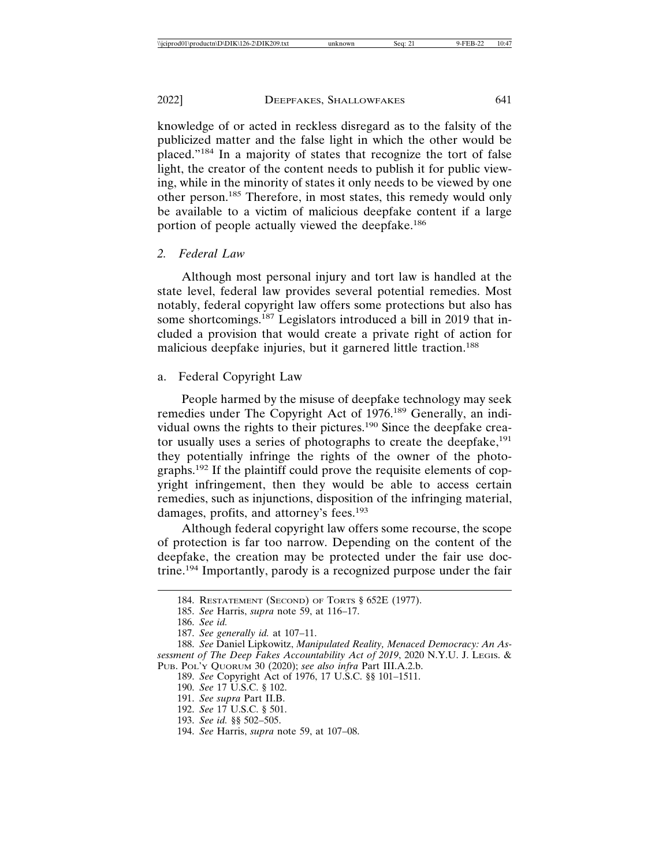knowledge of or acted in reckless disregard as to the falsity of the publicized matter and the false light in which the other would be placed."184 In a majority of states that recognize the tort of false light, the creator of the content needs to publish it for public viewing, while in the minority of states it only needs to be viewed by one other person.185 Therefore, in most states, this remedy would only be available to a victim of malicious deepfake content if a large portion of people actually viewed the deepfake.<sup>186</sup>

## *2. Federal Law*

Although most personal injury and tort law is handled at the state level, federal law provides several potential remedies. Most notably, federal copyright law offers some protections but also has some shortcomings.187 Legislators introduced a bill in 2019 that included a provision that would create a private right of action for malicious deepfake injuries, but it garnered little traction.<sup>188</sup>

## a. Federal Copyright Law

People harmed by the misuse of deepfake technology may seek remedies under The Copyright Act of 1976.189 Generally, an individual owns the rights to their pictures.190 Since the deepfake creator usually uses a series of photographs to create the deepfake,<sup>191</sup> they potentially infringe the rights of the owner of the photographs.192 If the plaintiff could prove the requisite elements of copyright infringement, then they would be able to access certain remedies, such as injunctions, disposition of the infringing material, damages, profits, and attorney's fees.<sup>193</sup>

Although federal copyright law offers some recourse, the scope of protection is far too narrow. Depending on the content of the deepfake, the creation may be protected under the fair use doctrine.194 Importantly, parody is a recognized purpose under the fair

186. *See id.*

<sup>184.</sup> RESTATEMENT (SECOND) OF TORTS § 652E (1977).

<sup>185.</sup> *See* Harris, *supra* note 59, at 116–17.

<sup>187.</sup> *See generally id.* at 107–11.

<sup>188.</sup> *See* Daniel Lipkowitz, *Manipulated Reality, Menaced Democracy: An Assessment of The Deep Fakes Accountability Act of 2019*, 2020 N.Y.U. J. LEGIS. & PUB. POL'Y QUORUM 30 (2020); *see also infra* Part III.A.2.b.

<sup>189.</sup> *See* Copyright Act of 1976, 17 U.S.C. §§ 101–1511.

<sup>190.</sup> *See* 17 U.S.C. § 102.

<sup>191.</sup> *See supra* Part II.B.

<sup>192.</sup> *See* 17 U.S.C. § 501.

<sup>193.</sup> *See id.* §§ 502–505.

<sup>194.</sup> *See* Harris, *supra* note 59, at 107–08.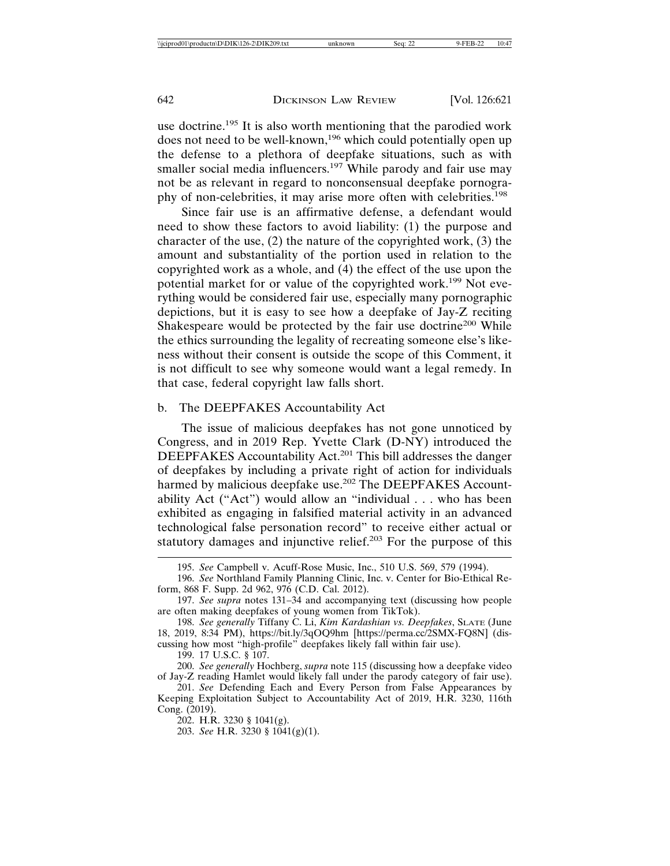use doctrine.<sup>195</sup> It is also worth mentioning that the parodied work does not need to be well-known,<sup>196</sup> which could potentially open up the defense to a plethora of deepfake situations, such as with smaller social media influencers.<sup>197</sup> While parody and fair use may not be as relevant in regard to nonconsensual deepfake pornography of non-celebrities, it may arise more often with celebrities.<sup>198</sup>

Since fair use is an affirmative defense, a defendant would need to show these factors to avoid liability: (1) the purpose and character of the use, (2) the nature of the copyrighted work, (3) the amount and substantiality of the portion used in relation to the copyrighted work as a whole, and (4) the effect of the use upon the potential market for or value of the copyrighted work.199 Not everything would be considered fair use, especially many pornographic depictions, but it is easy to see how a deepfake of Jay-Z reciting Shakespeare would be protected by the fair use doctrine<sup>200</sup> While the ethics surrounding the legality of recreating someone else's likeness without their consent is outside the scope of this Comment, it is not difficult to see why someone would want a legal remedy. In that case, federal copyright law falls short.

#### b. The DEEPFAKES Accountability Act

The issue of malicious deepfakes has not gone unnoticed by Congress, and in 2019 Rep. Yvette Clark (D-NY) introduced the DEEPFAKES Accountability Act.<sup>201</sup> This bill addresses the danger of deepfakes by including a private right of action for individuals harmed by malicious deepfake use.<sup>202</sup> The DEEPFAKES Accountability Act ("Act") would allow an "individual . . . who has been exhibited as engaging in falsified material activity in an advanced technological false personation record" to receive either actual or statutory damages and injunctive relief.<sup>203</sup> For the purpose of this

<sup>195.</sup> *See* Campbell v. Acuff-Rose Music, Inc., 510 U.S. 569, 579 (1994).

<sup>196.</sup> *See* Northland Family Planning Clinic, Inc. v. Center for Bio-Ethical Reform, 868 F. Supp. 2d 962, 976 (C.D. Cal. 2012).

<sup>197.</sup> *See supra* notes 131–34 and accompanying text (discussing how people are often making deepfakes of young women from TikTok).

<sup>198.</sup> *See generally* Tiffany C. Li, *Kim Kardashian vs. Deepfakes*, SLATE (June 18, 2019, 8:34 PM), https://bit.ly/3qOQ9hm [https://perma.cc/2SMX-FQ8N] (discussing how most "high-profile" deepfakes likely fall within fair use).

<sup>199. 17</sup> U.S.C. § 107.

<sup>200.</sup> *See generally* Hochberg, *supra* note 115 (discussing how a deepfake video of Jay-Z reading Hamlet would likely fall under the parody category of fair use).

<sup>201.</sup> *See* Defending Each and Every Person from False Appearances by Keeping Exploitation Subject to Accountability Act of 2019, H.R. 3230, 116th Cong. (2019).

 $202.$  H.R. 3230 § 1041(g).

<sup>203.</sup> *See* H.R. 3230 § 1041(g)(1).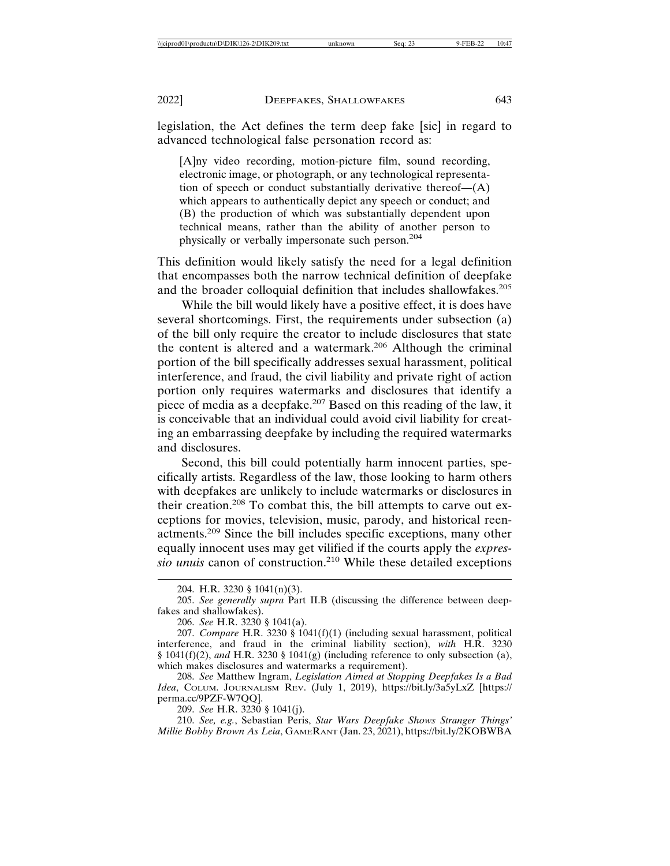legislation, the Act defines the term deep fake [sic] in regard to advanced technological false personation record as:

[A]ny video recording, motion-picture film, sound recording, electronic image, or photograph, or any technological representation of speech or conduct substantially derivative thereof—(A) which appears to authentically depict any speech or conduct; and (B) the production of which was substantially dependent upon technical means, rather than the ability of another person to physically or verbally impersonate such person.204

This definition would likely satisfy the need for a legal definition that encompasses both the narrow technical definition of deepfake and the broader colloquial definition that includes shallowfakes.<sup>205</sup>

While the bill would likely have a positive effect, it is does have several shortcomings. First, the requirements under subsection (a) of the bill only require the creator to include disclosures that state the content is altered and a watermark.206 Although the criminal portion of the bill specifically addresses sexual harassment, political interference, and fraud, the civil liability and private right of action portion only requires watermarks and disclosures that identify a piece of media as a deepfake.<sup>207</sup> Based on this reading of the law, it is conceivable that an individual could avoid civil liability for creating an embarrassing deepfake by including the required watermarks and disclosures.

Second, this bill could potentially harm innocent parties, specifically artists. Regardless of the law, those looking to harm others with deepfakes are unlikely to include watermarks or disclosures in their creation.208 To combat this, the bill attempts to carve out exceptions for movies, television, music, parody, and historical reenactments.209 Since the bill includes specific exceptions, many other equally innocent uses may get vilified if the courts apply the *expressio unuis* canon of construction.210 While these detailed exceptions

206. *See* H.R. 3230 § 1041(a).

207. *Compare* H.R. 3230 § 1041(f)(1) (including sexual harassment, political interference, and fraud in the criminal liability section), *with* H.R. 3230 § 1041(f)(2), *and* H.R. 3230 § 1041(g) (including reference to only subsection (a), which makes disclosures and watermarks a requirement).

208. *See* Matthew Ingram, *Legislation Aimed at Stopping Deepfakes Is a Bad Idea*, COLUM. JOURNALISM REV. (July 1, 2019), https://bit.ly/3a5yLxZ [https:// perma.cc/9PZF-W7QQ].

209. *See* H.R. 3230 § 1041(j).

210. *See, e.g.*, Sebastian Peris, *Star Wars Deepfake Shows Stranger Things' Millie Bobby Brown As Leia*, GAMERANT (Jan. 23, 2021), https://bit.ly/2KOBWBA

<sup>204.</sup> H.R. 3230 § 1041(n)(3).

<sup>205.</sup> *See generally supra* Part II.B (discussing the difference between deepfakes and shallowfakes).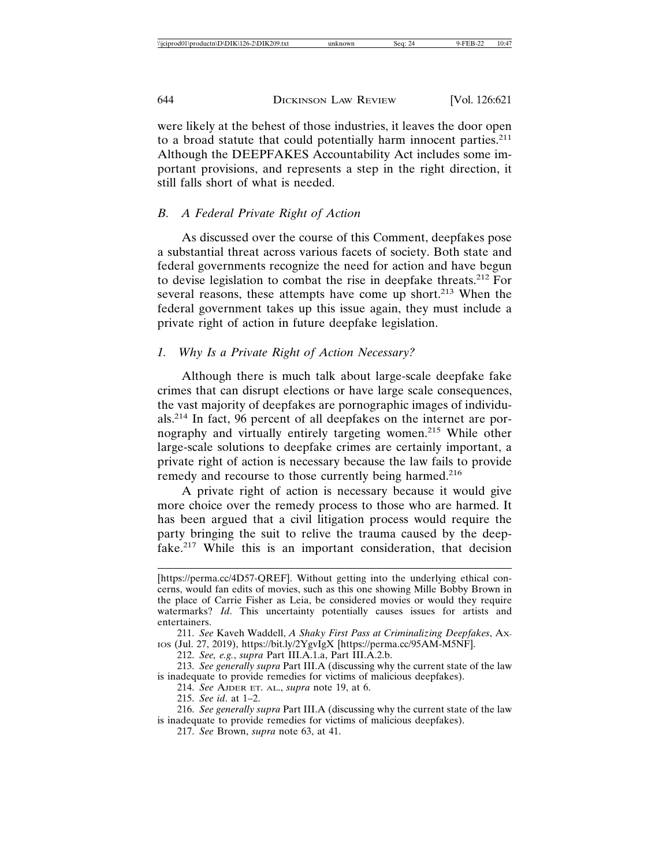were likely at the behest of those industries, it leaves the door open to a broad statute that could potentially harm innocent parties.<sup>211</sup> Although the DEEPFAKES Accountability Act includes some important provisions, and represents a step in the right direction, it still falls short of what is needed.

## *B. A Federal Private Right of Action*

As discussed over the course of this Comment, deepfakes pose a substantial threat across various facets of society. Both state and federal governments recognize the need for action and have begun to devise legislation to combat the rise in deepfake threats.212 For several reasons, these attempts have come up short.<sup>213</sup> When the federal government takes up this issue again, they must include a private right of action in future deepfake legislation.

## *1. Why Is a Private Right of Action Necessary?*

Although there is much talk about large-scale deepfake fake crimes that can disrupt elections or have large scale consequences, the vast majority of deepfakes are pornographic images of individuals.214 In fact, 96 percent of all deepfakes on the internet are pornography and virtually entirely targeting women.215 While other large-scale solutions to deepfake crimes are certainly important, a private right of action is necessary because the law fails to provide remedy and recourse to those currently being harmed.<sup>216</sup>

A private right of action is necessary because it would give more choice over the remedy process to those who are harmed. It has been argued that a civil litigation process would require the party bringing the suit to relive the trauma caused by the deepfake.217 While this is an important consideration, that decision

212. *See, e.g.*, *supra* Part III.A.1.a, Part III.A.2.b.

213. *See generally supra* Part III.A (discussing why the current state of the law is inadequate to provide remedies for victims of malicious deepfakes).

214. *See* AJDER ET. AL., *supra* note 19, at 6.

215. *See id*. at 1–2.

217. *See* Brown, *supra* note 63, at 41.

<sup>[</sup>https://perma.cc/4D57-QREF]. Without getting into the underlying ethical concerns, would fan edits of movies, such as this one showing Mille Bobby Brown in the place of Carrie Fisher as Leia, be considered movies or would they require watermarks? *Id*. This uncertainty potentially causes issues for artists and entertainers.

<sup>211.</sup> *See* Kaveh Waddell, *A Shaky First Pass at Criminalizing Deepfakes*, AX-IOS (Jul. 27, 2019), https://bit.ly/2YgvIgX [https://perma.cc/95AM-M5NF].

<sup>216.</sup> *See generally supra* Part III.A (discussing why the current state of the law is inadequate to provide remedies for victims of malicious deepfakes).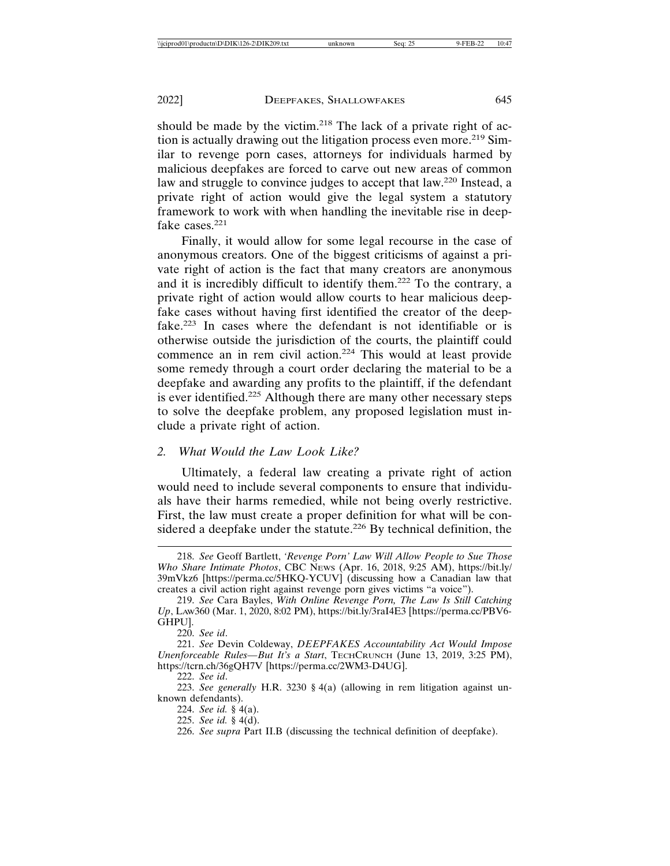should be made by the victim.<sup>218</sup> The lack of a private right of action is actually drawing out the litigation process even more.<sup>219</sup> Similar to revenge porn cases, attorneys for individuals harmed by malicious deepfakes are forced to carve out new areas of common law and struggle to convince judges to accept that law.220 Instead, a private right of action would give the legal system a statutory framework to work with when handling the inevitable rise in deepfake cases.<sup>221</sup>

Finally, it would allow for some legal recourse in the case of anonymous creators. One of the biggest criticisms of against a private right of action is the fact that many creators are anonymous and it is incredibly difficult to identify them.222 To the contrary, a private right of action would allow courts to hear malicious deepfake cases without having first identified the creator of the deepfake.223 In cases where the defendant is not identifiable or is otherwise outside the jurisdiction of the courts, the plaintiff could commence an in rem civil action.<sup>224</sup> This would at least provide some remedy through a court order declaring the material to be a deepfake and awarding any profits to the plaintiff, if the defendant is ever identified.<sup>225</sup> Although there are many other necessary steps to solve the deepfake problem, any proposed legislation must include a private right of action.

## *2. What Would the Law Look Like?*

Ultimately, a federal law creating a private right of action would need to include several components to ensure that individuals have their harms remedied, while not being overly restrictive. First, the law must create a proper definition for what will be considered a deepfake under the statute.<sup>226</sup> By technical definition, the

225. *See id.* § 4(d).

<sup>218.</sup> *See* Geoff Bartlett, *'Revenge Porn' Law Will Allow People to Sue Those Who Share Intimate Photos*, CBC NEWS (Apr. 16, 2018, 9:25 AM), https://bit.ly/ 39mVkz6 [https://perma.cc/5HKQ-YCUV] (discussing how a Canadian law that creates a civil action right against revenge porn gives victims "a voice").

<sup>219.</sup> *See* Cara Bayles, *With Online Revenge Porn, The Law Is Still Catching Up*, LAW360 (Mar. 1, 2020, 8:02 PM), https://bit.ly/3raI4E3 [https://perma.cc/PBV6- GHPU].

<sup>220.</sup> *See id*.

<sup>221.</sup> *See* Devin Coldeway, *DEEPFAKES Accountability Act Would Impose Unenforceable Rules—But It's a Start*, TECHCRUNCH (June 13, 2019, 3:25 PM), https://tcrn.ch/36gQH7V [https://perma.cc/2WM3-D4UG].

<sup>222.</sup> *See id*.

<sup>223.</sup> *See generally* H.R. 3230 § 4(a) (allowing in rem litigation against unknown defendants).

<sup>224.</sup> *See id.* § 4(a).

<sup>226.</sup> *See supra* Part II.B (discussing the technical definition of deepfake).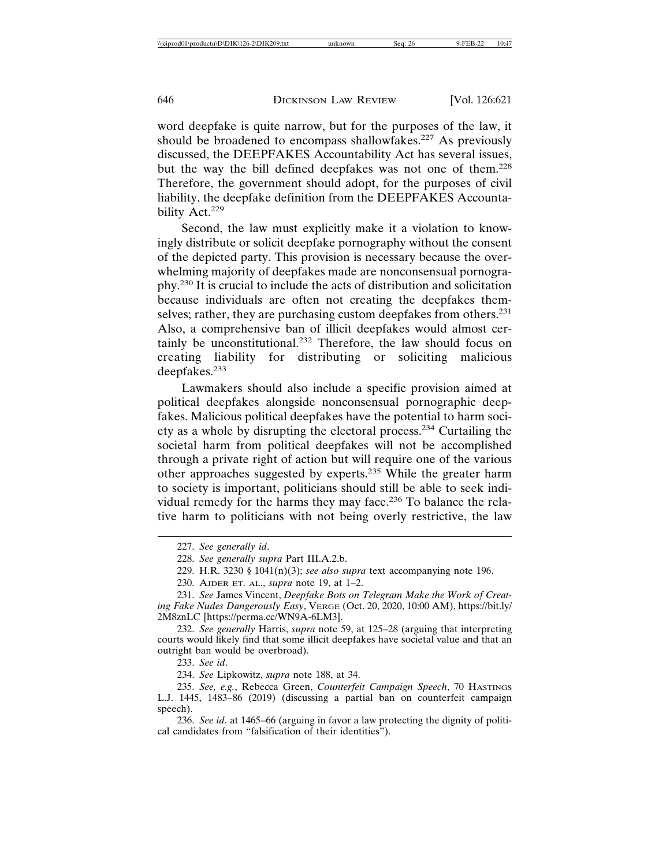word deepfake is quite narrow, but for the purposes of the law, it should be broadened to encompass shallowfakes.<sup>227</sup> As previously discussed, the DEEPFAKES Accountability Act has several issues, but the way the bill defined deepfakes was not one of them.<sup>228</sup> Therefore, the government should adopt, for the purposes of civil liability, the deepfake definition from the DEEPFAKES Accountability Act.<sup>229</sup>

Second, the law must explicitly make it a violation to knowingly distribute or solicit deepfake pornography without the consent of the depicted party. This provision is necessary because the overwhelming majority of deepfakes made are nonconsensual pornography.230 It is crucial to include the acts of distribution and solicitation because individuals are often not creating the deepfakes themselves; rather, they are purchasing custom deepfakes from others.<sup>231</sup> Also, a comprehensive ban of illicit deepfakes would almost certainly be unconstitutional.232 Therefore, the law should focus on creating liability for distributing or soliciting malicious deepfakes.<sup>233</sup>

Lawmakers should also include a specific provision aimed at political deepfakes alongside nonconsensual pornographic deepfakes. Malicious political deepfakes have the potential to harm society as a whole by disrupting the electoral process.234 Curtailing the societal harm from political deepfakes will not be accomplished through a private right of action but will require one of the various other approaches suggested by experts.235 While the greater harm to society is important, politicians should still be able to seek individual remedy for the harms they may face.<sup>236</sup> To balance the relative harm to politicians with not being overly restrictive, the law

232. *See generally* Harris, *supra* note 59, at 125–28 (arguing that interpreting courts would likely find that some illicit deepfakes have societal value and that an outright ban would be overbroad).

233. *See id*.

<sup>227.</sup> *See generally id*.

<sup>228.</sup> *See generally supra* Part III.A.2.b.

<sup>229.</sup> H.R. 3230 § 1041(n)(3); *see also supra* text accompanying note 196.

<sup>230.</sup> AJDER ET. AL., *supra* note 19, at 1–2.

<sup>231.</sup> *See* James Vincent, *Deepfake Bots on Telegram Make the Work of Creating Fake Nudes Dangerously Easy*, VERGE (Oct. 20, 2020, 10:00 AM), https://bit.ly/ 2M8znLC [https://perma.cc/WN9A-6LM3].

<sup>234.</sup> *See* Lipkowitz, *supra* note 188, at 34.

<sup>235.</sup> *See, e.g.*, Rebecca Green, *Counterfeit Campaign Speech*, 70 HASTINGS L.J. 1445, 1483–86 (2019) (discussing a partial ban on counterfeit campaign speech).

<sup>236.</sup> *See id*. at 1465–66 (arguing in favor a law protecting the dignity of political candidates from "falsification of their identities").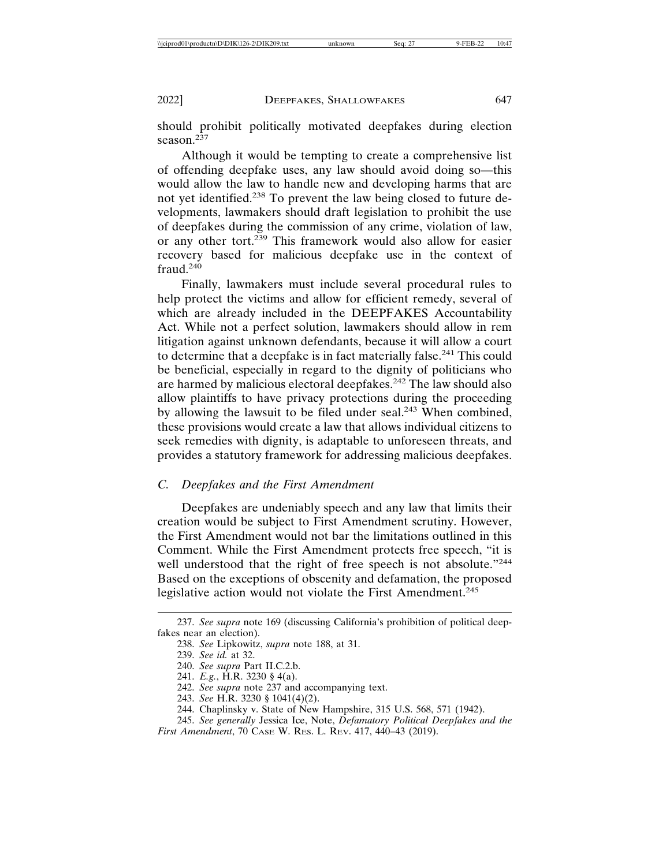should prohibit politically motivated deepfakes during election season.<sup>237</sup>

Although it would be tempting to create a comprehensive list of offending deepfake uses, any law should avoid doing so—this would allow the law to handle new and developing harms that are not yet identified.238 To prevent the law being closed to future developments, lawmakers should draft legislation to prohibit the use of deepfakes during the commission of any crime, violation of law, or any other tort.<sup>239</sup> This framework would also allow for easier recovery based for malicious deepfake use in the context of fraud.<sup>240</sup>

Finally, lawmakers must include several procedural rules to help protect the victims and allow for efficient remedy, several of which are already included in the DEEPFAKES Accountability Act. While not a perfect solution, lawmakers should allow in rem litigation against unknown defendants, because it will allow a court to determine that a deepfake is in fact materially false.<sup>241</sup> This could be beneficial, especially in regard to the dignity of politicians who are harmed by malicious electoral deepfakes.242 The law should also allow plaintiffs to have privacy protections during the proceeding by allowing the lawsuit to be filed under seal.<sup>243</sup> When combined, these provisions would create a law that allows individual citizens to seek remedies with dignity, is adaptable to unforeseen threats, and provides a statutory framework for addressing malicious deepfakes.

#### *C. Deepfakes and the First Amendment*

Deepfakes are undeniably speech and any law that limits their creation would be subject to First Amendment scrutiny. However, the First Amendment would not bar the limitations outlined in this Comment. While the First Amendment protects free speech, "it is well understood that the right of free speech is not absolute."<sup>244</sup> Based on the exceptions of obscenity and defamation, the proposed legislative action would not violate the First Amendment.<sup>245</sup>

<sup>237.</sup> *See supra* note 169 (discussing California's prohibition of political deepfakes near an election).

<sup>238.</sup> *See* Lipkowitz, *supra* note 188, at 31.

<sup>239.</sup> *See id.* at 32.

<sup>240.</sup> *See supra* Part II.C.2.b.

<sup>241.</sup> *E.g.*, H.R. 3230 § 4(a).

<sup>242.</sup> *See supra* note 237 and accompanying text.

<sup>243.</sup> *See* H.R. 3230 § 1041(4)(2).

<sup>244.</sup> Chaplinsky v. State of New Hampshire, 315 U.S. 568, 571 (1942).

<sup>245.</sup> *See generally* Jessica Ice, Note, *Defamatory Political Deepfakes and the First Amendment*, 70 CASE W. RES. L. REV. 417, 440–43 (2019).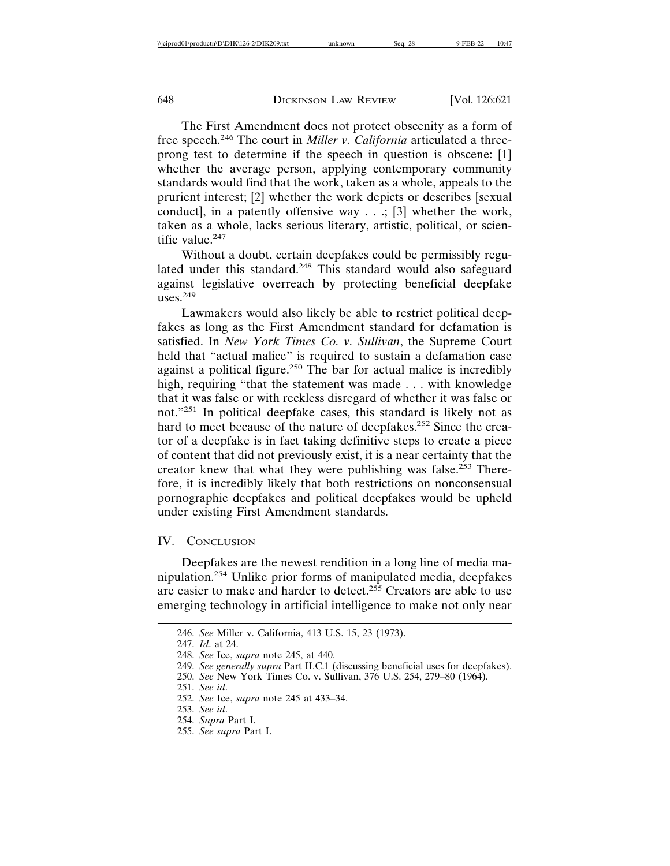The First Amendment does not protect obscenity as a form of free speech.246 The court in *Miller v. California* articulated a threeprong test to determine if the speech in question is obscene: [1] whether the average person, applying contemporary community standards would find that the work, taken as a whole, appeals to the prurient interest; [2] whether the work depicts or describes [sexual conduct], in a patently offensive way  $\ldots$ ; [3] whether the work, taken as a whole, lacks serious literary, artistic, political, or scientific value. $247$ 

Without a doubt, certain deepfakes could be permissibly regulated under this standard.<sup>248</sup> This standard would also safeguard against legislative overreach by protecting beneficial deepfake uses. $249$ 

Lawmakers would also likely be able to restrict political deepfakes as long as the First Amendment standard for defamation is satisfied. In *New York Times Co. v. Sullivan*, the Supreme Court held that "actual malice" is required to sustain a defamation case against a political figure.<sup>250</sup> The bar for actual malice is incredibly high, requiring "that the statement was made . . . with knowledge that it was false or with reckless disregard of whether it was false or not."251 In political deepfake cases, this standard is likely not as hard to meet because of the nature of deepfakes.<sup>252</sup> Since the creator of a deepfake is in fact taking definitive steps to create a piece of content that did not previously exist, it is a near certainty that the creator knew that what they were publishing was false.<sup>253</sup> Therefore, it is incredibly likely that both restrictions on nonconsensual pornographic deepfakes and political deepfakes would be upheld under existing First Amendment standards.

## IV. CONCLUSION

Deepfakes are the newest rendition in a long line of media manipulation.254 Unlike prior forms of manipulated media, deepfakes are easier to make and harder to detect.<sup>255</sup> Creators are able to use emerging technology in artificial intelligence to make not only near

<sup>246.</sup> *See* Miller v. California, 413 U.S. 15, 23 (1973).

<sup>247.</sup> *Id*. at 24.

<sup>248.</sup> *See* Ice, *supra* note 245, at 440.

<sup>249.</sup> *See generally supra* Part II.C.1 (discussing beneficial uses for deepfakes).

<sup>250.</sup> *See* New York Times Co. v. Sullivan, 376 U.S. 254, 279–80 (1964).

<sup>251.</sup> *See id*.

<sup>252.</sup> *See* Ice, *supra* note 245 at 433–34.

<sup>253.</sup> *See id*.

<sup>254.</sup> *Supra* Part I.

<sup>255.</sup> *See supra* Part I.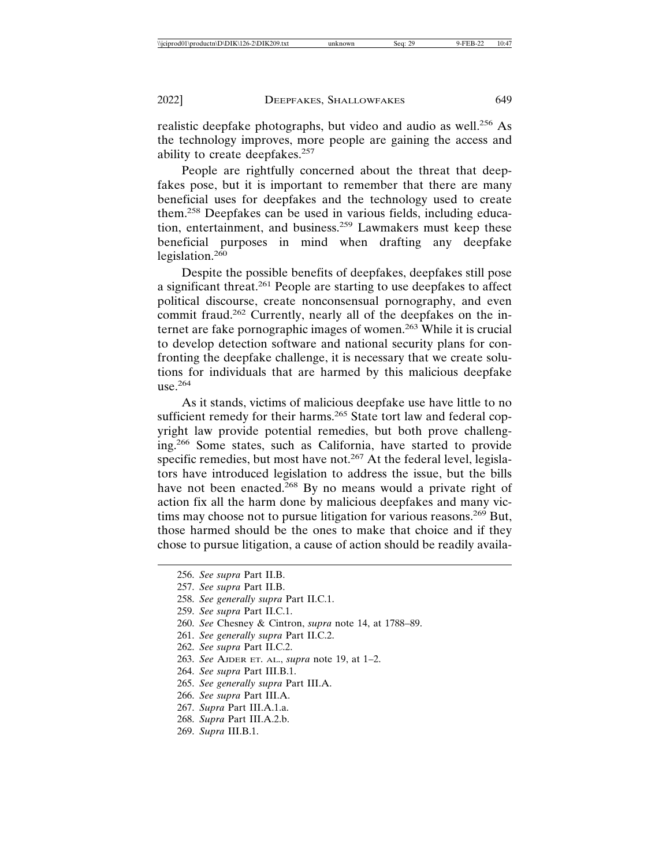realistic deepfake photographs, but video and audio as well.<sup>256</sup> As the technology improves, more people are gaining the access and ability to create deepfakes.<sup>257</sup>

People are rightfully concerned about the threat that deepfakes pose, but it is important to remember that there are many beneficial uses for deepfakes and the technology used to create them.258 Deepfakes can be used in various fields, including education, entertainment, and business.259 Lawmakers must keep these beneficial purposes in mind when drafting any deepfake legislation. $260$ 

Despite the possible benefits of deepfakes, deepfakes still pose a significant threat.261 People are starting to use deepfakes to affect political discourse, create nonconsensual pornography, and even commit fraud.<sup>262</sup> Currently, nearly all of the deepfakes on the internet are fake pornographic images of women.263 While it is crucial to develop detection software and national security plans for confronting the deepfake challenge, it is necessary that we create solutions for individuals that are harmed by this malicious deepfake  $use.<sup>264</sup>$ 

As it stands, victims of malicious deepfake use have little to no sufficient remedy for their harms.<sup>265</sup> State tort law and federal copyright law provide potential remedies, but both prove challenging.266 Some states, such as California, have started to provide specific remedies, but most have not.<sup>267</sup> At the federal level, legislators have introduced legislation to address the issue, but the bills have not been enacted.<sup>268</sup> By no means would a private right of action fix all the harm done by malicious deepfakes and many victims may choose not to pursue litigation for various reasons.<sup>269</sup> But, those harmed should be the ones to make that choice and if they chose to pursue litigation, a cause of action should be readily availa-

- 262. *See supra* Part II.C.2.
- 263. *See* AJDER ET. AL., *supra* note 19, at 1–2.
- 264. *See supra* Part III.B.1.
- 265. *See generally supra* Part III.A.
- 266. *See supra* Part III.A.
- 267. *Supra* Part III.A.1.a.
- 268. *Supra* Part III.A.2.b.
- 269. *Supra* III.B.1.

<sup>256.</sup> *See supra* Part II.B.

<sup>257.</sup> *See supra* Part II.B.

<sup>258.</sup> *See generally supra* Part II.C.1.

<sup>259.</sup> *See supra* Part II.C.1.

<sup>260.</sup> *See* Chesney & Cintron, *supra* note 14, at 1788–89.

<sup>261.</sup> *See generally supra* Part II.C.2.